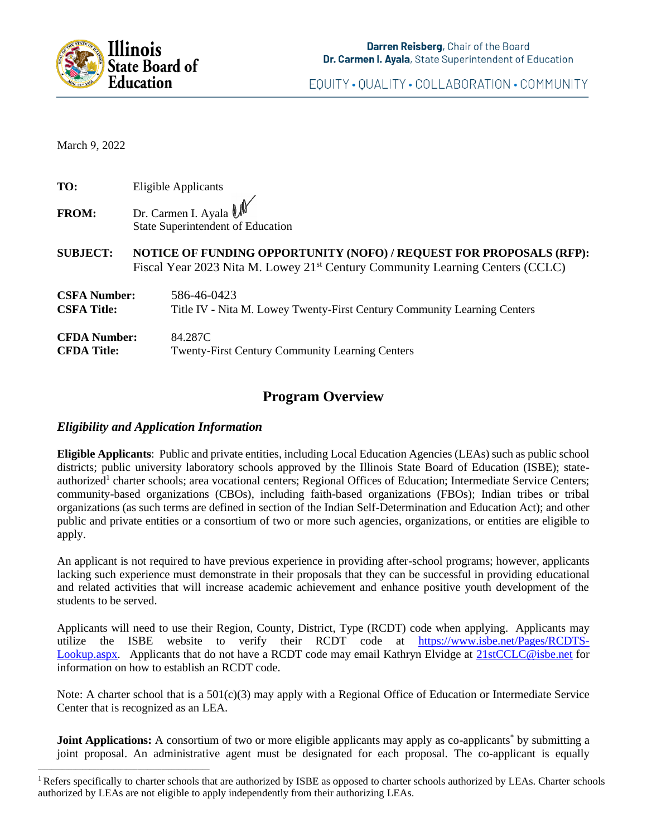

EQUITY . QUALITY . COLLABORATION . COMMUNITY

March 9, 2022

| TO:<br>Eligible Applicants |  |
|----------------------------|--|
|----------------------------|--|

- **FROM:** Dr. Carmen I. Ayala  $\mathbb{U}$ State Superintendent of Education
- **SUBJECT: NOTICE OF FUNDING OPPORTUNITY (NOFO) / REQUEST FOR PROPOSALS (RFP):**  Fiscal Year 2023 Nita M. Lowey 21<sup>st</sup> Century Community Learning Centers (CCLC)
- **CSFA Number:** 586-46-0423 **CSFA Title:** Title IV **-** Nita M. Lowey Twenty-First Century Community Learning Centers **CFDA Number:** 84.287C **CFDA Title:** Twenty-First Century Community Learning Centers

# **Program Overview**

## *Eligibility and Application Information*

 $\overline{\phantom{a}}$  , and the set of the set of the set of the set of the set of the set of the set of the set of the set of the set of the set of the set of the set of the set of the set of the set of the set of the set of the s

**Eligible Applicants**: Public and private entities, including Local Education Agencies (LEAs) such as public school districts; public university laboratory schools approved by the Illinois State Board of Education (ISBE); stateauthorized<sup>1</sup> charter schools; area vocational centers; Regional Offices of Education; Intermediate Service Centers; community-based organizations (CBOs), including faith-based organizations (FBOs); Indian tribes or tribal organizations (as such terms are defined in section of the Indian Self-Determination and Education Act); and other public and private entities or a consortium of two or more such agencies, organizations, or entities are eligible to apply.

An applicant is not required to have previous experience in providing after-school programs; however, applicants lacking such experience must demonstrate in their proposals that they can be successful in providing educational and related activities that will increase academic achievement and enhance positive youth development of the students to be served.

Applicants will need to use their Region, County, District, Type (RCDT) code when applying. Applicants may utilize the ISBE website to verify their RCDT code at [https://www.isbe.net/Pages/RCDTS-](https://www.isbe.net/Pages/RCDTS-Lookup.aspx)[Lookup.aspx.](https://www.isbe.net/Pages/RCDTS-Lookup.aspx) Applicants that do not have a RCDT code may email Kathryn Elvidge at [21stCCLC@isbe.net](mailto:21stCCLC@isbe.net) for information on how to establish an RCDT code.

Note: A charter school that is a 501(c)(3) may apply with a Regional Office of Education or Intermediate Service Center that is recognized as an LEA.

**Joint Applications:** A consortium of two or more eligible applicants may apply as co-applicants<sup>\*</sup> by submitting a joint proposal. An administrative agent must be designated for each proposal. The co-applicant is equally

 $<sup>1</sup>$  Refers specifically to charter schools that are authorized by ISBE as opposed to charter schools authorized by LEAs. Charter schools</sup> authorized by LEAs are not eligible to apply independently from their authorizing LEAs.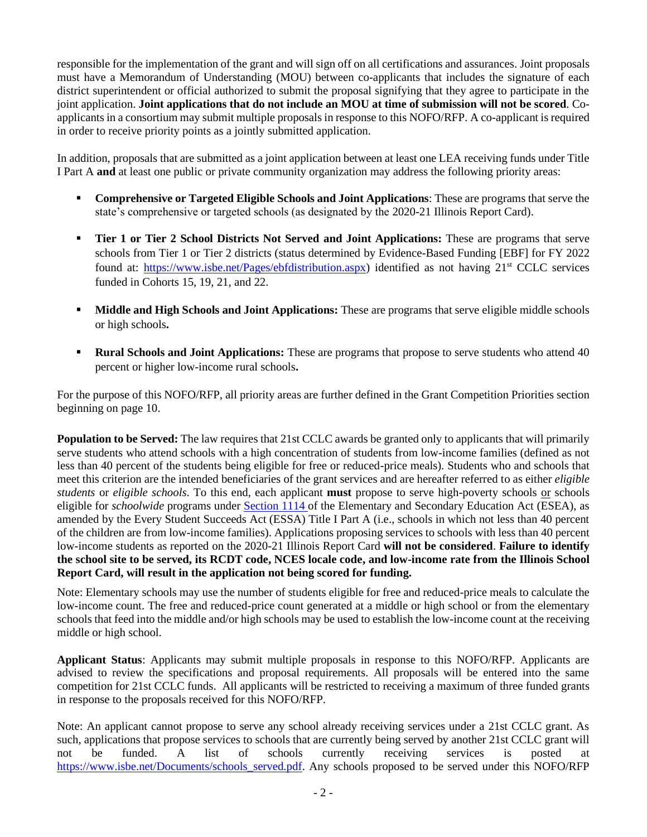responsible for the implementation of the grant and will sign off on all certifications and assurances. Joint proposals must have a Memorandum of Understanding (MOU) between co-applicants that includes the signature of each district superintendent or official authorized to submit the proposal signifying that they agree to participate in the joint application. **Joint applications that do not include an MOU at time of submission will not be scored**. Coapplicants in a consortium may submit multiple proposals in response to this NOFO/RFP. A co-applicant is required in order to receive priority points as a jointly submitted application.

In addition, proposals that are submitted as a joint application between at least one LEA receiving funds under Title I Part A **and** at least one public or private community organization may address the following priority areas:

- **Comprehensive or Targeted Eligible Schools and Joint Applications:** These are programs that serve the state's comprehensive or targeted schools (as designated by the 2020-21 Illinois Report Card).
- **Tier 1 or Tier 2 School Districts Not Served and Joint Applications:** These are programs that serve schools from Tier 1 or Tier 2 districts (status determined by Evidence-Based Funding [EBF] for FY 2022 found at: [https://www.isbe.net/Pages/ebfdistribution.aspx\)](https://www.isbe.net/Pages/ebfdistribution.aspx) identified as not having 21<sup>st</sup> CCLC services funded in Cohorts 15, 19, 21, and 22.
- **Middle and High Schools and Joint Applications:** These are programs that serve eligible middle schools or high schools**.**
- **Rural Schools and Joint Applications:** These are programs that propose to serve students who attend 40 percent or higher low-income rural schools**.**

For the purpose of this NOFO/RFP, all priority areas are further defined in the Grant Competition Priorities section beginning on page 10.

**Population to be Served:** The law requires that 21st CCLC awards be granted only to applicants that will primarily serve students who attend schools with a high concentration of students from low-income families (defined as not less than 40 percent of the students being eligible for free or reduced-price meals). Students who and schools that meet this criterion are the intended beneficiaries of the grant services and are hereafter referred to as either *eligible students* or *eligible schools*. To this end, each applicant **must** propose to serve high-poverty schools or schools eligible for *schoolwide* programs under [Section 1](https://www2.ed.gov/documents/essa-act-of-1965.pdf)114 of the Elementary and Secondary Education Act (ESEA), as amended by the Every Student Succeeds Act (ESSA) Title I Part A (i.e., schools in which not less than 40 percent of the children are from low-income families). Applications proposing services to schools with less than 40 percent low-income students as reported on the 2020-21 Illinois Report Card **will not be considered**. **Failure to identify the school site to be served, its RCDT code, NCES locale code, and low-income rate from the Illinois School Report Card, will result in the application not being scored for funding.**

Note: Elementary schools may use the number of students eligible for free and reduced-price meals to calculate the low-income count. The free and reduced-price count generated at a middle or high school or from the elementary schools that feed into the middle and/or high schools may be used to establish the low-income count at the receiving middle or high school.

**Applicant Status**: Applicants may submit multiple proposals in response to this NOFO/RFP. Applicants are advised to review the specifications and proposal requirements. All proposals will be entered into the same competition for 21st CCLC funds. All applicants will be restricted to receiving a maximum of three funded grants in response to the proposals received for this NOFO/RFP.

Note: An applicant cannot propose to serve any school already receiving services under a 21st CCLC grant. As such, applications that propose services to schools that are currently being served by another 21st CCLC grant will not be funded. A list of schools currently receiving services is posted at [https://www.isbe.net/Documents/schools\\_served.pdf.](https://www.isbe.net/Documents/schools_served.pdf) Any schools proposed to be served under this NOFO/RFP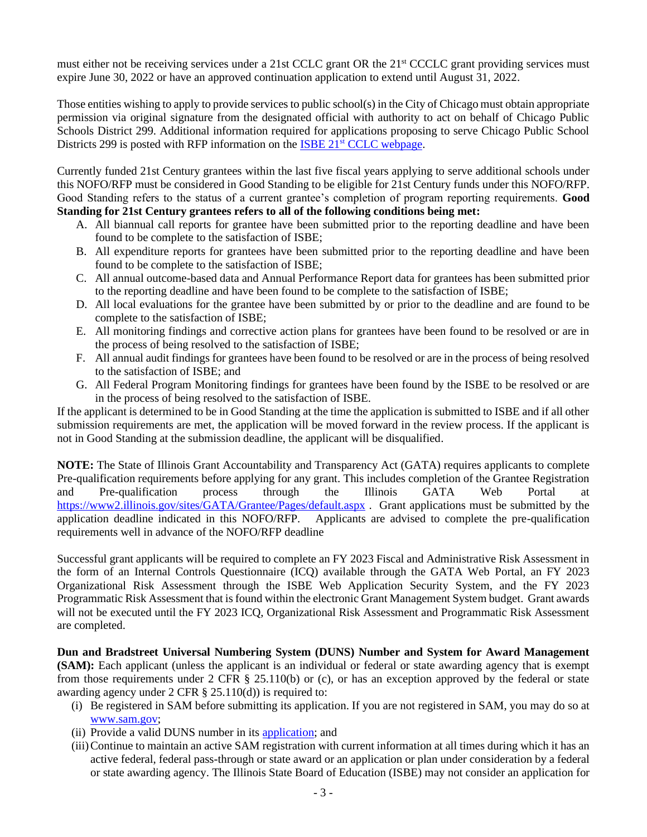must either not be receiving services under a 21st CCLC grant OR the 21st CCCLC grant providing services must expire June 30, 2022 or have an approved continuation application to extend until August 31, 2022.

Those entities wishing to apply to provide services to public school(s) in the City of Chicago must obtain appropriate permission via original signature from the designated official with authority to act on behalf of Chicago Public Schools District 299. Additional information required for applications proposing to serve Chicago Public School Districts 299 is posted with RFP information on the ISBE 21<sup>st</sup> [CCLC webpage.](https://www.isbe.net/Pages/21st-Century-Community-Learning-Centers.aspx)

Currently funded 21st Century grantees within the last five fiscal years applying to serve additional schools under this NOFO/RFP must be considered in Good Standing to be eligible for 21st Century funds under this NOFO/RFP. Good Standing refers to the status of a current grantee's completion of program reporting requirements. **Good Standing for 21st Century grantees refers to all of the following conditions being met:**

- A. All biannual call reports for grantee have been submitted prior to the reporting deadline and have been found to be complete to the satisfaction of ISBE;
- B. All expenditure reports for grantees have been submitted prior to the reporting deadline and have been found to be complete to the satisfaction of ISBE;
- C. All annual outcome-based data and Annual Performance Report data for grantees has been submitted prior to the reporting deadline and have been found to be complete to the satisfaction of ISBE;
- D. All local evaluations for the grantee have been submitted by or prior to the deadline and are found to be complete to the satisfaction of ISBE;
- E. All monitoring findings and corrective action plans for grantees have been found to be resolved or are in the process of being resolved to the satisfaction of ISBE;
- F. All annual audit findings for grantees have been found to be resolved or are in the process of being resolved to the satisfaction of ISBE; and
- G. All Federal Program Monitoring findings for grantees have been found by the ISBE to be resolved or are in the process of being resolved to the satisfaction of ISBE.

If the applicant is determined to be in Good Standing at the time the application is submitted to ISBE and if all other submission requirements are met, the application will be moved forward in the review process. If the applicant is not in Good Standing at the submission deadline, the applicant will be disqualified.

**NOTE:** The State of Illinois Grant Accountability and Transparency Act (GATA) requires applicants to complete Pre-qualification requirements before applying for any grant. This includes completion of the Grantee Registration and Pre-qualification process through the Illinois GATA Web Portal at <https://www2.illinois.gov/sites/GATA/Grantee/Pages/default.aspx> . Grant applications must be submitted by the application deadline indicated in this NOFO/RFP. Applicants are advised to complete the pre-qualification Applicants are advised to complete the pre-qualification requirements well in advance of the NOFO/RFP deadline

Successful grant applicants will be required to complete an FY 2023 Fiscal and Administrative Risk Assessment in the form of an Internal Controls Questionnaire (ICQ) available through the GATA Web Portal, an FY 2023 Organizational Risk Assessment through the ISBE Web Application Security System, and the FY 2023 Programmatic Risk Assessment that is found within the electronic Grant Management System budget. Grant awards will not be executed until the FY 2023 ICQ, Organizational Risk Assessment and Programmatic Risk Assessment are completed.

**Dun and Bradstreet Universal Numbering System (DUNS) Number and System for Award Management (SAM):** Each applicant (unless the applicant is an individual or federal or state awarding agency that is exempt from those requirements under 2 CFR § 25.110(b) or (c), or has an exception approved by the federal or state awarding agency under  $2 \text{ CFR } \S$  25.110(d)) is required to:

- (i) Be registered in SAM before submitting its application. If you are not registered in SAM, you may do so at [www.sam.gov;](http://www.sam.gov/)
- (ii) Provide a valid DUNS number in its [application;](https://fedgov.dnb.com/webform) and
- (iii)Continue to maintain an active SAM registration with current information at all times during which it has an active federal, federal pass-through or state award or an application or plan under consideration by a federal or state awarding agency. The Illinois State Board of Education (ISBE) may not consider an application for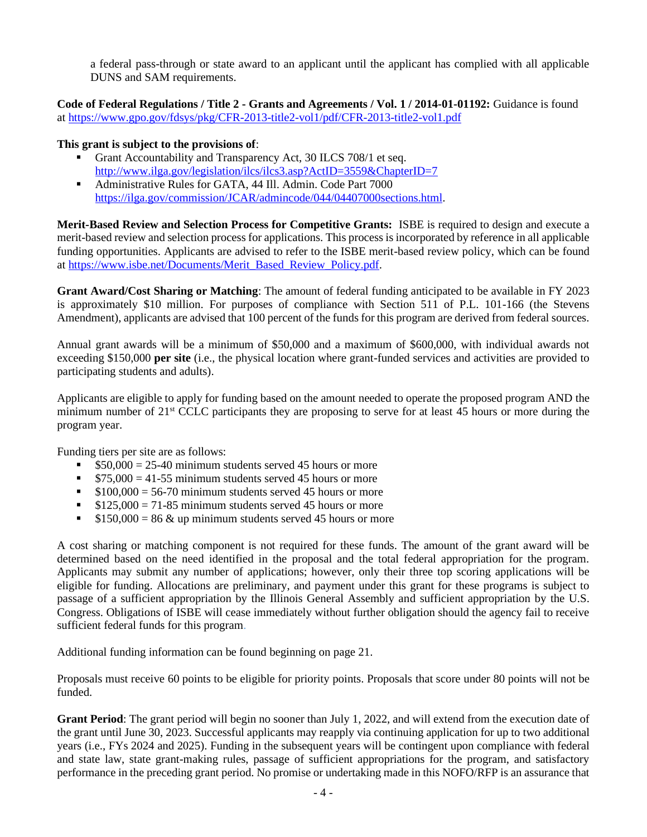a federal pass-through or state award to an applicant until the applicant has complied with all applicable DUNS and SAM requirements.

**Code of Federal Regulations / Title 2 - Grants and Agreements / Vol. 1 / 2014-01-01192:** Guidance is found at<https://www.gpo.gov/fdsys/pkg/CFR-2013-title2-vol1/pdf/CFR-2013-title2-vol1.pdf>

### **This grant is subject to the provisions of**:

- Grant Accountability and Transparency Act, 30 ILCS 708/1 et seq. <http://www.ilga.gov/legislation/ilcs/ilcs3.asp?ActID=3559&ChapterID=7>
- Administrative Rules for GATA, 44 Ill. Admin. Code Part 7000 [https://ilga.gov/commission/JCAR/admincode/044/04407000sections.html.](https://ilga.gov/commission/JCAR/admincode/044/04407000sections.html)

**Merit-Based Review and Selection Process for Competitive Grants:** ISBE is required to design and execute a merit-based review and selection process for applications. This process is incorporated by reference in all applicable funding opportunities. Applicants are advised to refer to the ISBE merit-based review policy, which can be found at [https://www.isbe.net/Documents/Merit\\_Based\\_Review\\_Policy.pdf.](https://www.isbe.net/Documents/Merit_Based_Review_Policy.pdf)

**Grant Award/Cost Sharing or Matching**: The amount of federal funding anticipated to be available in FY 2023 is approximately \$10 million. For purposes of compliance with Section 511 of P.L. 101-166 (the Stevens Amendment), applicants are advised that 100 percent of the funds for this program are derived from federal sources.

Annual grant awards will be a minimum of \$50,000 and a maximum of \$600,000, with individual awards not exceeding \$150,000 **per site** (i.e., the physical location where grant-funded services and activities are provided to participating students and adults).

Applicants are eligible to apply for funding based on the amount needed to operate the proposed program AND the minimum number of 21st CCLC participants they are proposing to serve for at least 45 hours or more during the program year.

Funding tiers per site are as follows:

- $$50,000 = 25-40$  minimum students served 45 hours or more
- $\$75,000 = 41-55$  minimum students served 45 hours or more
- $\approx$  \$100,000 = 56-70 minimum students served 45 hours or more
- $$125,000 = 71-85$  minimum students served 45 hours or more
- $\text{ $150,000 = 86 \& up minimum students served 45 hours or more}$

A cost sharing or matching component is not required for these funds. The amount of the grant award will be determined based on the need identified in the proposal and the total federal appropriation for the program. Applicants may submit any number of applications; however, only their three top scoring applications will be eligible for funding. Allocations are preliminary, and payment under this grant for these programs is subject to passage of a sufficient appropriation by the Illinois General Assembly and sufficient appropriation by the U.S. Congress. Obligations of ISBE will cease immediately without further obligation should the agency fail to receive sufficient federal funds for this program.

Additional funding information can be found beginning on page 21.

Proposals must receive 60 points to be eligible for priority points. Proposals that score under 80 points will not be funded.

**Grant Period**: The grant period will begin no sooner than July 1, 2022, and will extend from the execution date of the grant until June 30, 2023. Successful applicants may reapply via continuing application for up to two additional years (i.e., FYs 2024 and 2025). Funding in the subsequent years will be contingent upon compliance with federal and state law, state grant-making rules, passage of sufficient appropriations for the program, and satisfactory performance in the preceding grant period. No promise or undertaking made in this NOFO/RFP is an assurance that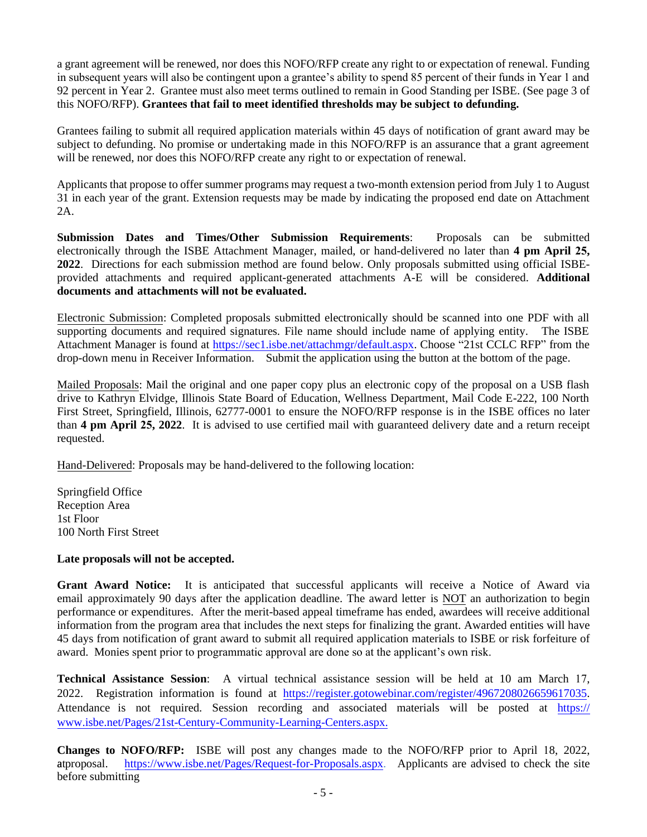a grant agreement will be renewed, nor does this NOFO/RFP create any right to or expectation of renewal. Funding in subsequent years will also be contingent upon a grantee's ability to spend 85 percent of their funds in Year 1 and 92 percent in Year 2. Grantee must also meet terms outlined to remain in Good Standing per ISBE. (See page 3 of this NOFO/RFP). **Grantees that fail to meet identified thresholds may be subject to defunding.** 

Grantees failing to submit all required application materials within 45 days of notification of grant award may be subject to defunding. No promise or undertaking made in this NOFO/RFP is an assurance that a grant agreement will be renewed, nor does this NOFO/RFP create any right to or expectation of renewal.

Applicants that propose to offer summer programs may request a two-month extension period from July 1 to August 31 in each year of the grant. Extension requests may be made by indicating the proposed end date on Attachment 2A.

**Submission Dates and Times/Other Submission Requirements**: Proposals can be submitted electronically through the ISBE Attachment Manager, mailed, or hand-delivered no later than **4 pm April 25, 2022**. Directions for each submission method are found below. Only proposals submitted using official ISBEprovided attachments and required applicant-generated attachments A-E will be considered. **Additional documents and attachments will not be evaluated.**

Electronic Submission: Completed proposals submitted electronically should be scanned into one PDF with all supporting documents and required signatures. File name should include name of applying entity. The ISBE Attachment Manager is found a[t https://sec1.isbe.net/attachmgr/default.aspx.](https://sec1.isbe.net/attachmgr/default.aspx) Choose "21st CCLC RFP" from the drop-down menu in Receiver Information. Submit the application using the button at the bottom of the page.

Mailed Proposals: Mail the original and one paper copy plus an electronic copy of the proposal on a USB flash drive to Kathryn Elvidge, Illinois State Board of Education, Wellness Department, Mail Code E-222, 100 North First Street, Springfield, Illinois, 62777-0001 to ensure the NOFO/RFP response is in the ISBE offices no later than **4 pm April 25, 2022**. It is advised to use certified mail with guaranteed delivery date and a return receipt requested.

Hand-Delivered: Proposals may be hand-delivered to the following location:

Springfield Office Reception Area 1st Floor 100 North First Street

## **Late proposals will not be accepted.**

**Grant Award Notice:** It is anticipated that successful applicants will receive a Notice of Award via email approximately 90 days after the application deadline. The award letter is NOT an authorization to begin performance or expenditures. After the merit-based appeal timeframe has ended, awardees will receive additional information from the program area that includes the next steps for finalizing the grant. Awarded entities will have 45 days from notification of grant award to submit all required application materials to ISBE or risk forfeiture of award. Monies spent prior to programmatic approval are done so at the applicant's own risk.

**Technical Assistance Session**: A virtual technical assistance session will be held at 10 am March 17, 2022. Registration information is found a[t https://register.gotowebinar.com/register/4967208026659617035.](https://register.gotowebinar.com/register/4967208026659617035) [Attendance is not required. Session recording and associated materials will be posted at](https://www.isbe.net/Pages/21st-Century-Community-Learning-Centers.aspx) https:// www.isbe.net/Pages/21st-Century-Community-Learning-Centers.aspx.

**[Changes to NOFO/RFP:](https://www.isbe.net/Pages/Request-for-Proposals.aspx)** ISBE will post any changes made to the NOFO/RFP prior to April 18, 2022, https://www.isbe.net/Pages/Request-for-Proposals.aspx. Applicants are advised to check the site before submitting atproposal.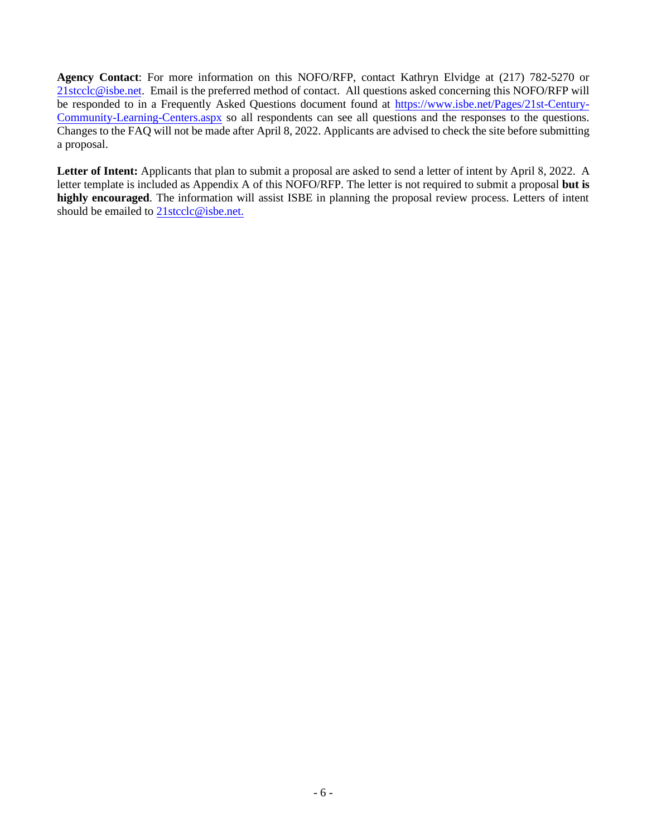**Agency Contact**: For more information on this NOFO/RFP, contact Kathryn Elvidge at (217) 782-5270 or [21stcclc@isbe.net.](mailto:21stcclc@isbe.net) Email is the preferred method of contact. All questions asked concerning this NOFO/RFP will be responded to in a Frequently Asked Questions document found at [https://www.isbe.net/Pages/21st-Century-](https://www.isbe.net/Pages/21st-Century-Community-Learning-Centers.aspx)[Community-Learning-Centers.aspx](https://www.isbe.net/Pages/21st-Century-Community-Learning-Centers.aspx) so all respondents can see all questions and the responses to the questions. Changes to the FAQ will not be made after April 8, 2022. Applicants are advised to check the site before submitting a proposal.

Letter of Intent: Applicants that plan to submit a proposal are asked to send a letter of intent by April 8, 2022. A letter template is included as Appendix A of this NOFO/RFP. The letter is not required to submit a proposal **but is highly encouraged**. The information will assist ISBE in planning the proposal review process. Letters of intent should be emailed to 21 stcclc@isbe.net.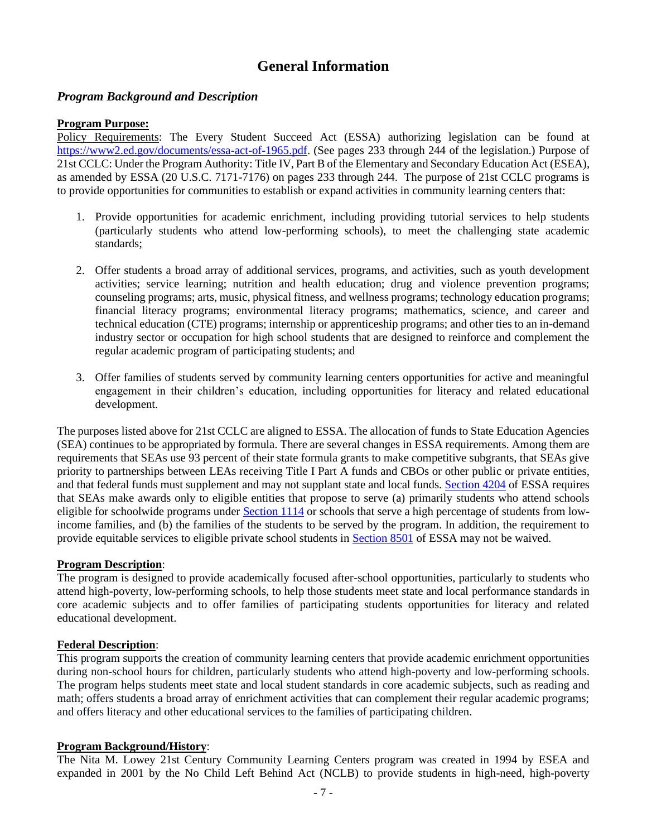# **General Information**

## *Program Background and Description*

#### **Program Purpose:**

Policy Requirements: The Every Student Succeed Act (ESSA) authorizing legislation can be found at [https://www2.ed.gov/documents/essa-act-of-1965.pdf.](https://www2.ed.gov/documents/essa-act-of-1965.pdf) (See pages 233 through 244 of the legislation.) Purpose of 21st CCLC: Under the Program Authority: Title IV, Part B of the Elementary and Secondary Education Act (ESEA), as amended by ESSA (20 U.S.C. 7171-7176) on pages 233 through 244. The purpose of 21st CCLC programs is to provide opportunities for communities to establish or expand activities in community learning centers that:

- 1. Provide opportunities for academic enrichment, including providing tutorial services to help students (particularly students who attend low-performing schools), to meet the challenging state academic standards;
- 2. Offer students a broad array of additional services, programs, and activities, such as youth development activities; service learning; nutrition and health education; drug and violence prevention programs; counseling programs; arts, music, physical fitness, and wellness programs; technology education programs; financial literacy programs; environmental literacy programs; mathematics, science, and career and technical education (CTE) programs; internship or apprenticeship programs; and other ties to an in-demand industry sector or occupation for high school students that are designed to reinforce and complement the regular academic program of participating students; and
- 3. Offer families of students served by community learning centers opportunities for active and meaningful engagement in their children's education, including opportunities for literacy and related educational development.

The purposes listed above for 21st CCLC are aligned to ESSA. The allocation of funds to State Education Agencies (SEA) continues to be appropriated by formula. There are several changes in ESSA requirements. Among them are requirements that SEAs use 93 percent of their state formula grants to make competitive subgrants, that SEAs give priority to partnerships between LEAs receiving Title I Part A funds and CBOs or other public or private entities, and that federal funds must supplement and may not supplant state and local funds. [Section 4204](https://www2.ed.gov/documents/essa-act-of-1965.pdf) of ESSA requires that SEAs make awards only to eligible entities that propose to serve (a) primarily students who attend schools eligible for schoolwide programs under [Section 1114](https://www2.ed.gov/documents/essa-act-of-1965.pdf) or schools that serve a high percentage of students from lowincome families, and (b) the families of the students to be served by the program. In addition, the requirement to provide equitable services to eligible private school students in [Section 8501](https://www2.ed.gov/documents/essa-act-of-1965.pdf) of ESSA may not be waived.

#### **Program Description**:

The program is designed to provide academically focused after-school opportunities, particularly to students who attend high-poverty, low-performing schools, to help those students meet state and local performance standards in core academic subjects and to offer families of participating students opportunities for literacy and related educational development.

#### **Federal Description**:

This program supports the creation of community learning centers that provide academic enrichment opportunities during non-school hours for children, particularly students who attend high-poverty and low-performing schools. The program helps students meet state and local student standards in core academic subjects, such as reading and math; offers students a broad array of enrichment activities that can complement their regular academic programs; and offers literacy and other educational services to the families of participating children.

#### **Program Background/History**:

The Nita M. Lowey 21st Century Community Learning Centers program was created in 1994 by ESEA and expanded in 2001 by the No Child Left Behind Act (NCLB) to provide students in high-need, high-poverty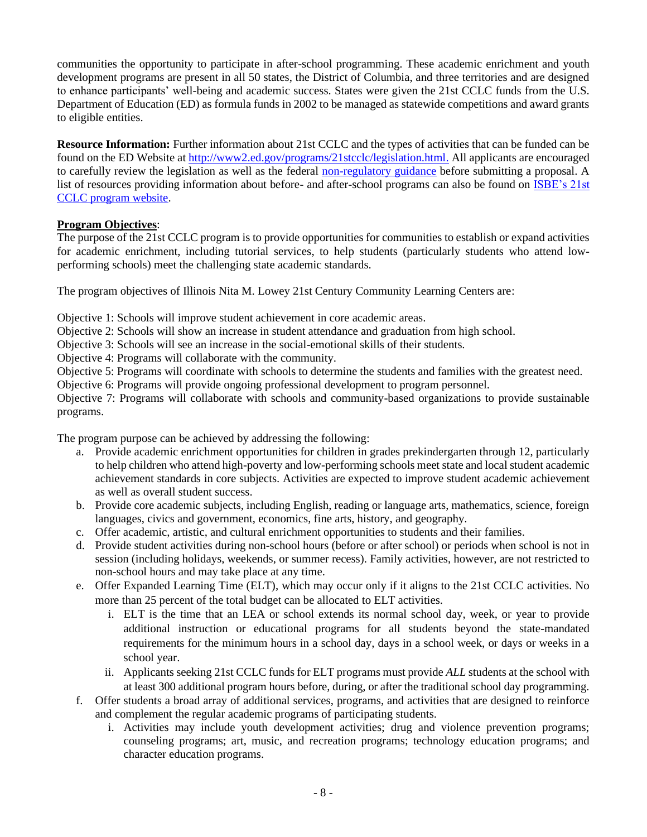communities the opportunity to participate in after-school programming. These academic enrichment and youth development programs are present in all 50 states, the District of Columbia, and three territories and are designed to enhance participants' well-being and academic success. States were given the 21st CCLC funds from the U.S. Department of Education (ED) as formula funds in 2002 to be managed as statewide competitions and award grants to eligible entities.

**Resource Information:** Further information about 21st CCLC and the types of activities that can be funded can be found on the ED Website at [http://www2.ed.gov/programs/21stcclc/legislation.html.](http://www2.ed.gov/programs/21stcclc/legislation.html) All applicants are encouraged to carefully review the legislation as well as the federal [non-regulatory guidance](https://www2.ed.gov/programs/21stcclc/guidance2003.pdf) before submitting a proposal. A list of resources providing information about before- and after-school programs can also be found on [ISBE's 21st](https://www.isbe.net/Pages/21st-Century-Community-Learning-Centers.aspx)  [CCLC program website.](https://www.isbe.net/Pages/21st-Century-Community-Learning-Centers.aspx)

### **Program Objectives**:

The purpose of the 21st CCLC program is to provide opportunities for communities to establish or expand activities for academic enrichment, including tutorial services, to help students (particularly students who attend lowperforming schools) meet the challenging state academic standards.

The program objectives of Illinois Nita M. Lowey 21st Century Community Learning Centers are:

Objective 1: Schools will improve student achievement in core academic areas.

Objective 2: Schools will show an increase in student attendance and graduation from high school.

Objective 3: Schools will see an increase in the social-emotional skills of their students.

Objective 4: Programs will collaborate with the community.

Objective 5: Programs will coordinate with schools to determine the students and families with the greatest need.

Objective 6: Programs will provide ongoing professional development to program personnel.

Objective 7: Programs will collaborate with schools and community-based organizations to provide sustainable programs.

The program purpose can be achieved by addressing the following:

- a. Provide academic enrichment opportunities for children in grades prekindergarten through 12, particularly to help children who attend high-poverty and low-performing schools meet state and local student academic achievement standards in core subjects. Activities are expected to improve student academic achievement as well as overall student success.
- b. Provide core academic subjects, including English, reading or language arts, mathematics, science, foreign languages, civics and government, economics, fine arts, history, and geography.
- c. Offer academic, artistic, and cultural enrichment opportunities to students and their families.
- d. Provide student activities during non-school hours (before or after school) or periods when school is not in session (including holidays, weekends, or summer recess). Family activities, however, are not restricted to non-school hours and may take place at any time.
- e. Offer Expanded Learning Time (ELT), which may occur only if it aligns to the 21st CCLC activities. No more than 25 percent of the total budget can be allocated to ELT activities.
	- i. ELT is the time that an LEA or school extends its normal school day, week, or year to provide additional instruction or educational programs for all students beyond the state-mandated requirements for the minimum hours in a school day, days in a school week, or days or weeks in a school year.
	- ii. Applicants seeking 21st CCLC funds for ELT programs must provide *ALL* students at the school with at least 300 additional program hours before, during, or after the traditional school day programming.
- f. Offer students a broad array of additional services, programs, and activities that are designed to reinforce and complement the regular academic programs of participating students.
	- i. Activities may include youth development activities; drug and violence prevention programs; counseling programs; art, music, and recreation programs; technology education programs; and character education programs.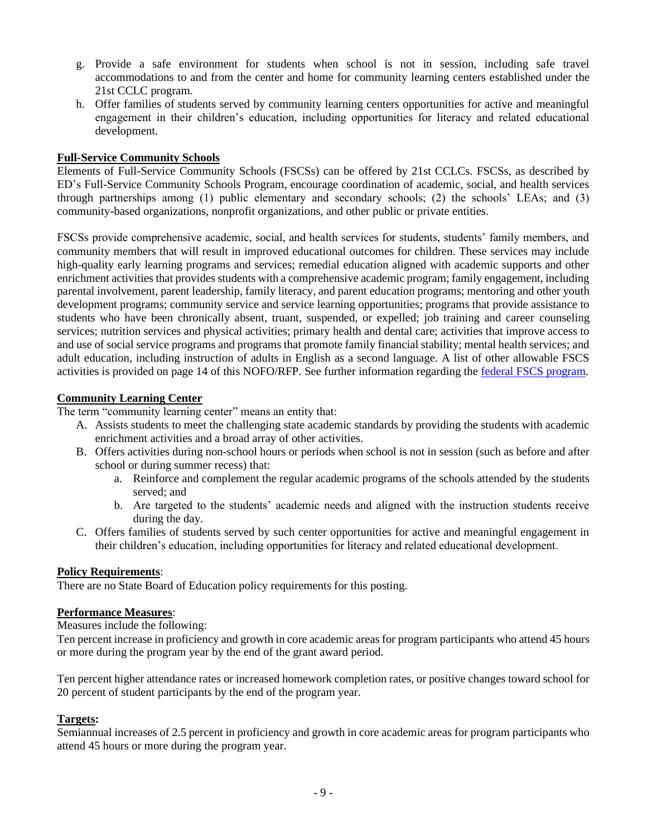- g. Provide a safe environment for students when school is not in session, including safe travel accommodations to and from the center and home for community learning centers established under the 21st CCLC program.
- h. Offer families of students served by community learning centers opportunities for active and meaningful engagement in their children's education, including opportunities for literacy and related educational development.

#### **Full-Service Community Schools**

Elements of Full-Service Community Schools (FSCSs) can be offered by 21st CCLCs. FSCSs, as described by ED's Full-Service Community Schools Program, encourage coordination of academic, social, and health services through partnerships among (1) public elementary and secondary schools; (2) the schools' LEAs; and (3) community-based organizations, nonprofit organizations, and other public or private entities.

FSCSs provide comprehensive academic, social, and health services for students, students' family members, and community members that will result in improved educational outcomes for children. These services may include high-quality early learning programs and services; remedial education aligned with academic supports and other enrichment activities that provides students with a comprehensive academic program; family engagement, including parental involvement, parent leadership, family literacy, and parent education programs; mentoring and other youth development programs; community service and service learning opportunities; programs that provide assistance to students who have been chronically absent, truant, suspended, or expelled; job training and career counseling services; nutrition services and physical activities; primary health and dental care; activities that improve access to and use of social service programs and programs that promote family financial stability; mental health services; and adult education, including instruction of adults in English as a second language. A list of other allowable FSCS activities is provided on page 14 of this NOFO/RFP. See further information regarding the [federal FSCS](https://www2.ed.gov/programs/communityschools/index.html) program.

#### **Community Learning Center**

The term "community learning center" means an entity that:

- A. Assists students to meet the challenging state academic standards by providing the students with academic enrichment activities and a broad array of other activities.
- B. Offers activities during non-school hours or periods when school is not in session (such as before and after school or during summer recess) that:
	- a. Reinforce and complement the regular academic programs of the schools attended by the students served: and
	- b. Are targeted to the students' academic needs and aligned with the instruction students receive during the day.
- C. Offers families of students served by such center opportunities for active and meaningful engagement in their children's education, including opportunities for literacy and related educational development.

#### **Policy Requirements**:

There are no State Board of Education policy requirements for this posting.

#### **Performance Measures**:

Measures include the following:

Ten percent increase in proficiency and growth in core academic areas for program participants who attend 45 hours or more during the program year by the end of the grant award period.

Ten percent higher attendance rates or increased homework completion rates, or positive changes toward school for 20 percent of student participants by the end of the program year.

#### **Targets:**

Semiannual increases of 2.5 percent in proficiency and growth in core academic areas for program participants who attend 45 hours or more during the program year.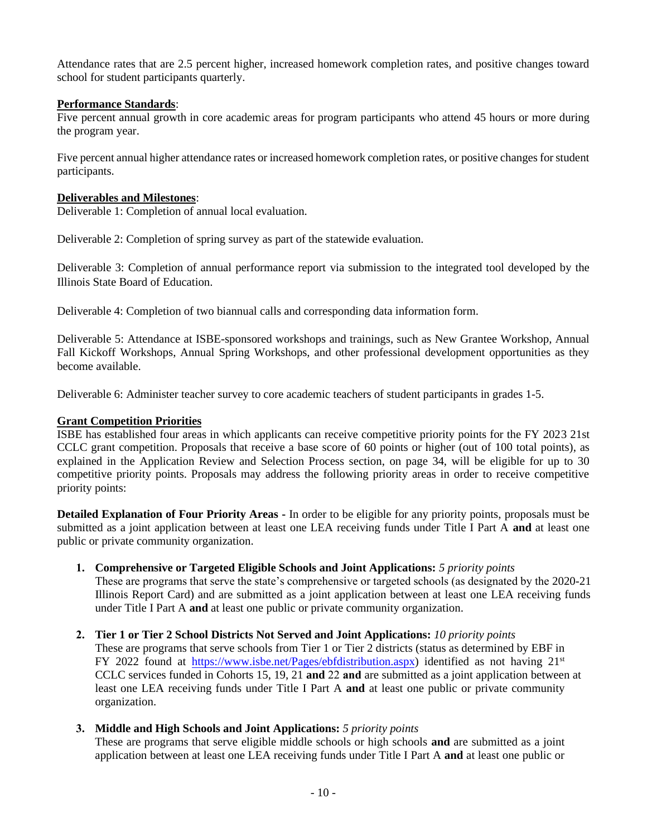Attendance rates that are 2.5 percent higher, increased homework completion rates, and positive changes toward school for student participants quarterly.

#### **Performance Standards**:

Five percent annual growth in core academic areas for program participants who attend 45 hours or more during the program year.

Five percent annual higher attendance rates or increased homework completion rates, or positive changes for student participants.

#### **Deliverables and Milestones**:

Deliverable 1: Completion of annual local evaluation.

Deliverable 2: Completion of spring survey as part of the statewide evaluation.

Deliverable 3: Completion of annual performance report via submission to the integrated tool developed by the Illinois State Board of Education.

Deliverable 4: Completion of two biannual calls and corresponding data information form.

Deliverable 5: Attendance at ISBE-sponsored workshops and trainings, such as New Grantee Workshop, Annual Fall Kickoff Workshops, Annual Spring Workshops, and other professional development opportunities as they become available.

Deliverable 6: Administer teacher survey to core academic teachers of student participants in grades 1-5.

#### **Grant Competition Priorities**

ISBE has established four areas in which applicants can receive competitive priority points for the FY 2023 21st CCLC grant competition. Proposals that receive a base score of 60 points or higher (out of 100 total points), as explained in the Application Review and Selection Process section, on page 34, will be eligible for up to 30 competitive priority points. Proposals may address the following priority areas in order to receive competitive priority points:

**Detailed Explanation of Four Priority Areas -** In order to be eligible for any priority points, proposals must be submitted as a joint application between at least one LEA receiving funds under Title I Part A **and** at least one public or private community organization.

**1. Comprehensive or Targeted Eligible Schools and Joint Applications:** *5 priority points*

These are programs that serve the state's comprehensive or targeted schools (as designated by the 2020-21 Illinois Report Card) and are submitted as a joint application between at least one LEA receiving funds under Title I Part A **and** at least one public or private community organization.

- **2. Tier 1 or Tier 2 School Districts Not Served and Joint Applications:** *10 priority points* These are programs that serve schools from Tier 1 or Tier 2 districts (status as determined by EBF in FY 2022 found at [https://www.isbe.net/Pages/ebfdistribution.aspx\)](https://www.isbe.net/Pages/ebfdistribution.aspx) identified as not having  $21^{st}$ CCLC services funded in Cohorts 15, 19, 21 **and** 22 **and** are submitted as a joint application between at least one LEA receiving funds under Title I Part A **and** at least one public or private community organization.
- **3. Middle and High Schools and Joint Applications:** *5 priority points*

These are programs that serve eligible middle schools or high schools **and** are submitted as a joint application between at least one LEA receiving funds under Title I Part A **and** at least one public or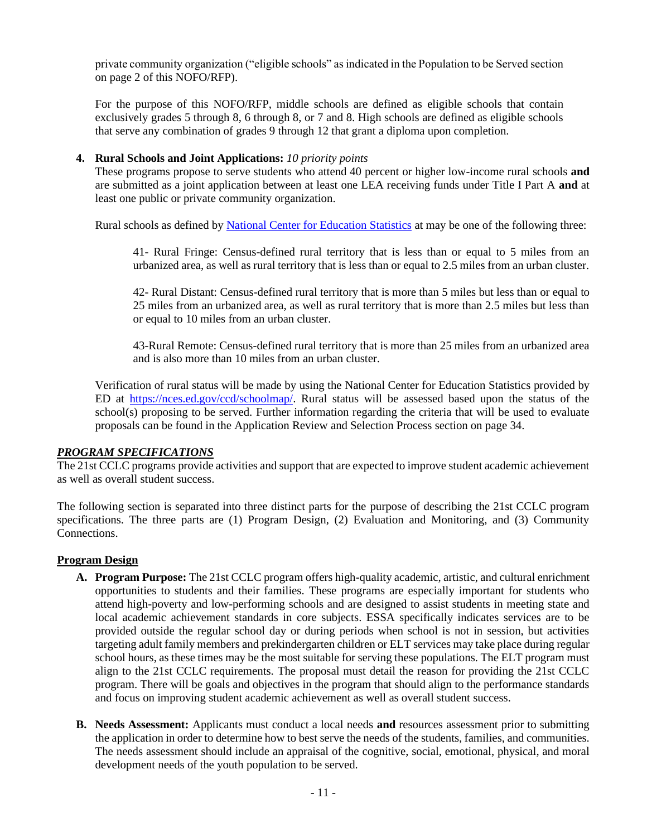private community organization ("eligible schools" as indicated in the Population to be Served section on page 2 of this NOFO/RFP).

For the purpose of this NOFO/RFP, middle schools are defined as eligible schools that contain exclusively grades 5 through 8, 6 through 8, or 7 and 8. High schools are defined as eligible schools that serve any combination of grades 9 through 12 that grant a diploma upon completion.

#### **4. Rural Schools and Joint Applications:** *10 priority points*

These programs propose to serve students who attend 40 percent or higher low-income rural schools **and**  are submitted as a joint application between at least one LEA receiving funds under Title I Part A **and** at least one public or private community organization.

Rural schools as defined by [National Center for Education Statistics](https://nces.ed.gov/surveys/ruraled/definitions.asp) at may be one of the following three:

41- Rural Fringe: Census-defined rural territory that is less than or equal to 5 miles from an urbanized area, as well as rural territory that is less than or equal to 2.5 miles from an urban cluster.

42- Rural Distant: Census-defined rural territory that is more than 5 miles but less than or equal to 25 miles from an urbanized area, as well as rural territory that is more than 2.5 miles but less than or equal to 10 miles from an urban cluster.

43-Rural Remote: Census-defined rural territory that is more than 25 miles from an urbanized area and is also more than 10 miles from an urban cluster.

Verification of rural status will be made by using the National Center for Education Statistics provided by ED at [https://nces.ed.gov/ccd/schoolmap/.](https://nces.ed.gov/ccd/schoolmap/) Rural status will be assessed based upon the status of the school(s) proposing to be served. Further information regarding the criteria that will be used to evaluate proposals can be found in the Application Review and Selection Process section on page 34.

#### *PROGRAM SPECIFICATIONS*

The 21st CCLC programs provide activities and support that are expected to improve student academic achievement as well as overall student success.

The following section is separated into three distinct parts for the purpose of describing the 21st CCLC program specifications. The three parts are (1) Program Design, (2) Evaluation and Monitoring, and (3) Community Connections.

#### **Program Design**

- **A. Program Purpose:** The 21st CCLC program offers high-quality academic, artistic, and cultural enrichment opportunities to students and their families. These programs are especially important for students who attend high-poverty and low-performing schools and are designed to assist students in meeting state and local academic achievement standards in core subjects. ESSA specifically indicates services are to be provided outside the regular school day or during periods when school is not in session, but activities targeting adult family members and prekindergarten children or ELT services may take place during regular school hours, as these times may be the most suitable for serving these populations. The ELT program must align to the 21st CCLC requirements. The proposal must detail the reason for providing the 21st CCLC program. There will be goals and objectives in the program that should align to the performance standards and focus on improving student academic achievement as well as overall student success.
- **B. Needs Assessment:** Applicants must conduct a local needs **and** resources assessment prior to submitting the application in order to determine how to best serve the needs of the students, families, and communities. The needs assessment should include an appraisal of the cognitive, social, emotional, physical, and moral development needs of the youth population to be served.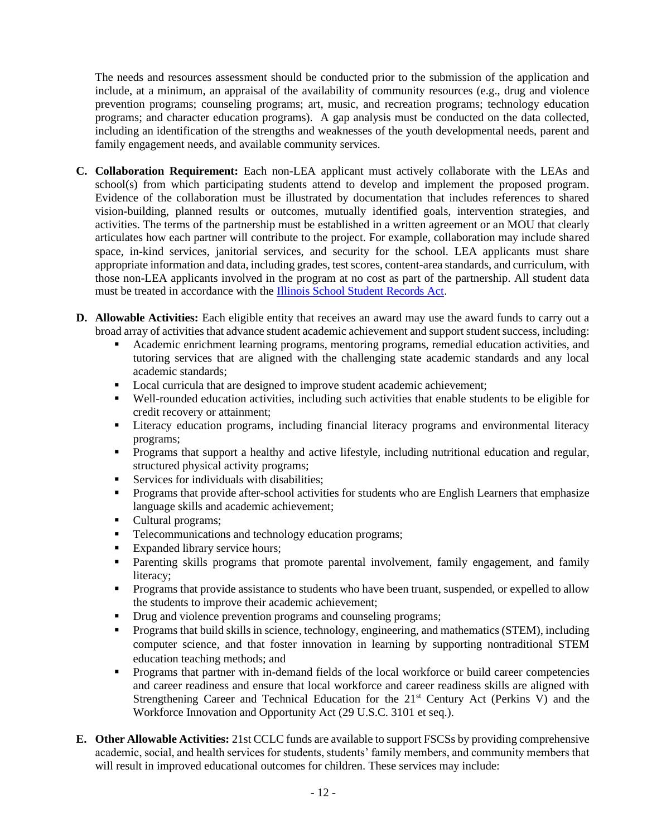The needs and resources assessment should be conducted prior to the submission of the application and include, at a minimum, an appraisal of the availability of community resources (e.g., drug and violence prevention programs; counseling programs; art, music, and recreation programs; technology education programs; and character education programs). A gap analysis must be conducted on the data collected, including an identification of the strengths and weaknesses of the youth developmental needs, parent and family engagement needs, and available community services.

- **C. Collaboration Requirement:** Each non-LEA applicant must actively collaborate with the LEAs and school(s) from which participating students attend to develop and implement the proposed program. Evidence of the collaboration must be illustrated by documentation that includes references to shared vision-building, planned results or outcomes, mutually identified goals, intervention strategies, and activities. The terms of the partnership must be established in a written agreement or an MOU that clearly articulates how each partner will contribute to the project. For example, collaboration may include shared space, in-kind services, janitorial services, and security for the school. LEA applicants must share appropriate information and data, including grades, test scores, content-area standards, and curriculum, with those non-LEA applicants involved in the program at no cost as part of the partnership. All student data must be treated in accordance with the [Illinois School Student Records Act.](http://www.ilga.gov/legislation/ilcs/ilcs3.asp?ActID=1006&ChapterID=17)
- **D. Allowable Activities:** Each eligible entity that receives an award may use the award funds to carry out a broad array of activities that advance student academic achievement and support student success, including:
	- Academic enrichment learning programs, mentoring programs, remedial education activities, and tutoring services that are aligned with the challenging state academic standards and any local academic standards;
	- Local curricula that are designed to improve student academic achievement;
	- Well-rounded education activities, including such activities that enable students to be eligible for credit recovery or attainment;
	- **Exercise 1** Literacy education programs, including financial literacy programs and environmental literacy programs;
	- **•** Programs that support a healthy and active lifestyle, including nutritional education and regular, structured physical activity programs;
	- **EXECUTE:** Services for individuals with disabilities;
	- **•** Programs that provide after-school activities for students who are English Learners that emphasize language skills and academic achievement;
	- Cultural programs;
	- **•** Telecommunications and technology education programs;
	- Expanded library service hours:
	- **•** Parenting skills programs that promote parental involvement, family engagement, and family literacy;
	- Programs that provide assistance to students who have been truant, suspended, or expelled to allow the students to improve their academic achievement;
	- **•** Drug and violence prevention programs and counseling programs;
	- **•** Programs that build skills in science, technology, engineering, and mathematics (STEM), including computer science, and that foster innovation in learning by supporting nontraditional STEM education teaching methods; and
	- Programs that partner with in-demand fields of the local workforce or build career competencies and career readiness and ensure that local workforce and career readiness skills are aligned with Strengthening Career and Technical Education for the 21<sup>st</sup> Century Act (Perkins V) and the Workforce Innovation and Opportunity Act (29 U.S.C. 3101 et seq.).
- **E. Other Allowable Activities:** 21st CCLC funds are available to support FSCSs by providing comprehensive academic, social, and health services for students, students' family members, and community members that will result in improved educational outcomes for children. These services may include: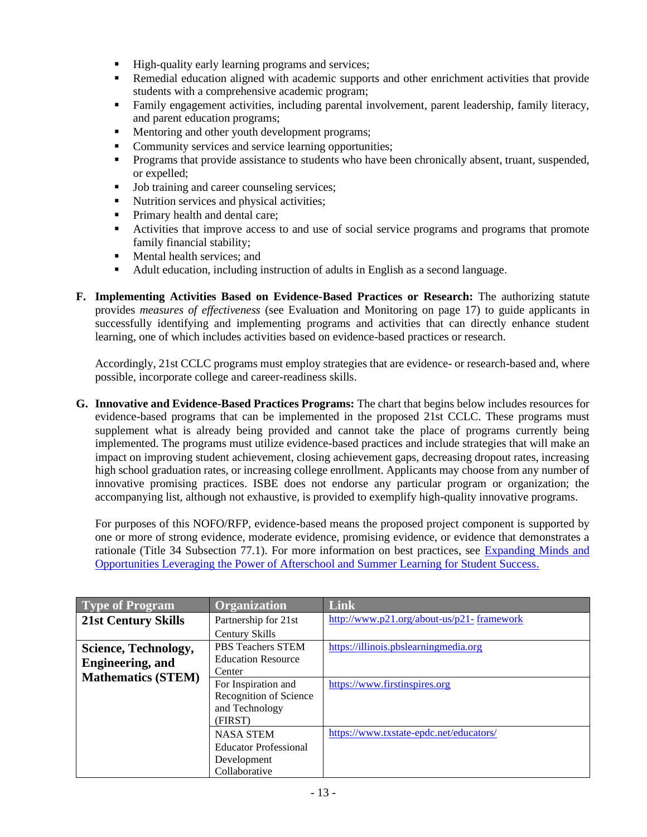- High-quality early learning programs and services;
- Remedial education aligned with academic supports and other enrichment activities that provide students with a comprehensive academic program;
- Family engagement activities, including parental involvement, parent leadership, family literacy, and parent education programs;
- **Mentoring and other youth development programs;**
- Community services and service learning opportunities;
- **•** Programs that provide assistance to students who have been chronically absent, truant, suspended, or expelled;
- Job training and career counseling services;
- Nutrition services and physical activities;
- **•** Primary health and dental care;
- Activities that improve access to and use of social service programs and programs that promote family financial stability;
- **•** Mental health services; and
- Adult education, including instruction of adults in English as a second language.
- **F. Implementing Activities Based on Evidence-Based Practices or Research:** The authorizing statute provides *measures of effectiveness* (see Evaluation and Monitoring on page 17) to guide applicants in successfully identifying and implementing programs and activities that can directly enhance student learning, one of which includes activities based on evidence-based practices or research.

Accordingly, 21st CCLC programs must employ strategies that are evidence- or research-based and, where possible, incorporate college and career-readiness skills.

**G. Innovative and Evidence-Based Practices Programs:** The chart that begins below includes resources for evidence-based programs that can be implemented in the proposed 21st CCLC. These programs must supplement what is already being provided and cannot take the place of programs currently being implemented. The programs must utilize evidence-based practices and include strategies that will make an impact on improving student achievement, closing achievement gaps, decreasing dropout rates, increasing high school graduation rates, or increasing college enrollment. Applicants may choose from any number of innovative promising practices. ISBE does not endorse any particular program or organization; the accompanying list, although not exhaustive, is provided to exemplify high-quality innovative programs.

For purposes of this NOFO/RFP, evidence-based means the proposed project component is supported by one or more of strong evidence, moderate evidence, promising evidence, or evidence that demonstrates a rationale (Title 34 Subsection 77.1). For more information on best practices, see [Expanding Minds and](https://www.expandinglearning.org/)  [Opportunities Leveraging the Power of Afterschool and Summer Learning for Student Success.](https://www.expandinglearning.org/)

| <b>Type of Program</b>     | <b>Organization</b>          | <b>Link</b>                               |
|----------------------------|------------------------------|-------------------------------------------|
| <b>21st Century Skills</b> | Partnership for 21st         | http://www.p21.org/about-us/p21-framework |
|                            | Century Skills               |                                           |
| Science, Technology,       | PBS Teachers STEM            | https://illinois.pbslearningmedia.org     |
| <b>Engineering</b> , and   | <b>Education Resource</b>    |                                           |
| <b>Mathematics (STEM)</b>  | Center                       |                                           |
|                            | For Inspiration and          | https://www.firstinspires.org             |
|                            | Recognition of Science       |                                           |
|                            | and Technology               |                                           |
|                            | (FIRST)                      |                                           |
|                            | <b>NASA STEM</b>             | https://www.txstate-epdc.net/educators/   |
|                            | <b>Educator Professional</b> |                                           |
|                            | Development                  |                                           |
|                            | Collaborative                |                                           |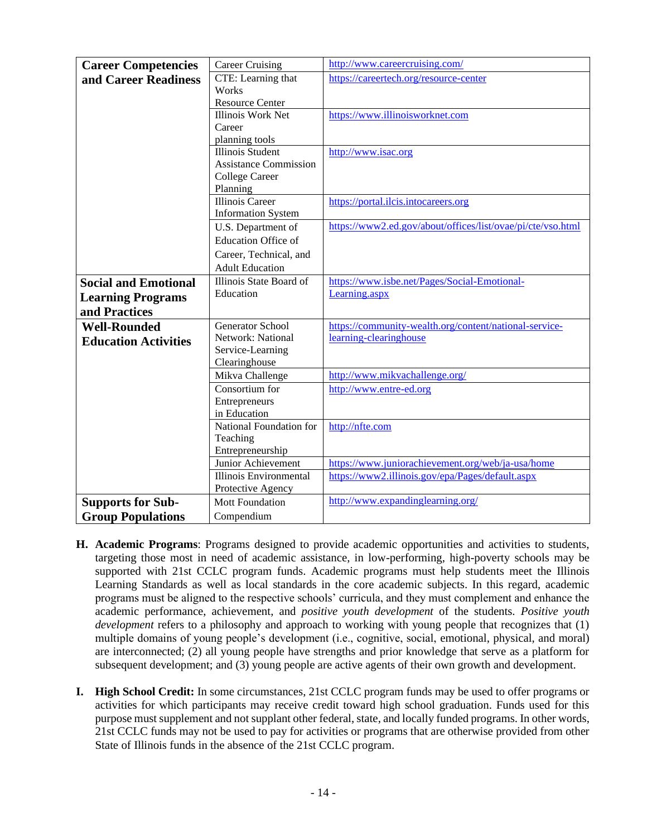| <b>Career Competencies</b>  | <b>Career Cruising</b>                 | http://www.careercruising.com/                              |
|-----------------------------|----------------------------------------|-------------------------------------------------------------|
| and Career Readiness        | CTE: Learning that                     | https://careertech.org/resource-center                      |
|                             | Works                                  |                                                             |
|                             | <b>Resource Center</b>                 |                                                             |
|                             | Illinois Work Net                      | https://www.illinoisworknet.com                             |
|                             | Career                                 |                                                             |
|                             | planning tools                         |                                                             |
|                             | <b>Illinois Student</b>                | http://www.isac.org                                         |
|                             | <b>Assistance Commission</b>           |                                                             |
|                             | College Career<br>Planning             |                                                             |
|                             | <b>Illinois Career</b>                 | https://portal.ilcis.intocareers.org                        |
|                             | <b>Information System</b>              |                                                             |
|                             | U.S. Department of                     | https://www2.ed.gov/about/offices/list/ovae/pi/cte/vso.html |
|                             | <b>Education Office of</b>             |                                                             |
|                             | Career, Technical, and                 |                                                             |
|                             | <b>Adult Education</b>                 |                                                             |
| <b>Social and Emotional</b> | Illinois State Board of                | https://www.isbe.net/Pages/Social-Emotional-                |
| <b>Learning Programs</b>    | Education                              | Learning.aspx                                               |
| and Practices               |                                        |                                                             |
| <b>Well-Rounded</b>         | <b>Generator School</b>                | https://community-wealth.org/content/national-service-      |
| <b>Education Activities</b> | Network: National                      | learning-clearinghouse                                      |
|                             | Service-Learning                       |                                                             |
|                             | Clearinghouse                          |                                                             |
|                             | Mikva Challenge                        | http://www.mikvachallenge.org/                              |
|                             | Consortium for                         | http://www.entre-ed.org                                     |
|                             | Entrepreneurs                          |                                                             |
|                             | in Education                           |                                                             |
|                             | National Foundation for                | http://nfte.com                                             |
|                             | Teaching                               |                                                             |
|                             | Entrepreneurship<br>Junior Achievement | https://www.juniorachievement.org/web/ja-usa/home           |
|                             | <b>Illinois Environmental</b>          | https://www2.illinois.gov/epa/Pages/default.aspx            |
|                             | Protective Agency                      |                                                             |
| <b>Supports for Sub-</b>    | <b>Mott Foundation</b>                 | http://www.expandinglearning.org/                           |
| <b>Group Populations</b>    | Compendium                             |                                                             |
|                             |                                        |                                                             |

- **H. Academic Programs**: Programs designed to provide academic opportunities and activities to students, targeting those most in need of academic assistance, in low-performing, high-poverty schools may be supported with 21st CCLC program funds. Academic programs must help students meet the Illinois Learning Standards as well as local standards in the core academic subjects. In this regard, academic programs must be aligned to the respective schools' curricula, and they must complement and enhance the academic performance, achievement, and *positive youth development* of the students. *Positive youth development* refers to a philosophy and approach to working with young people that recognizes that (1) multiple domains of young people's development (i.e., cognitive, social, emotional, physical, and moral) are interconnected; (2) all young people have strengths and prior knowledge that serve as a platform for subsequent development; and (3) young people are active agents of their own growth and development.
- **I. High School Credit:** In some circumstances, 21st CCLC program funds may be used to offer programs or activities for which participants may receive credit toward high school graduation. Funds used for this purpose must supplement and not supplant other federal, state, and locally funded programs. In other words, 21st CCLC funds may not be used to pay for activities or programs that are otherwise provided from other State of Illinois funds in the absence of the 21st CCLC program.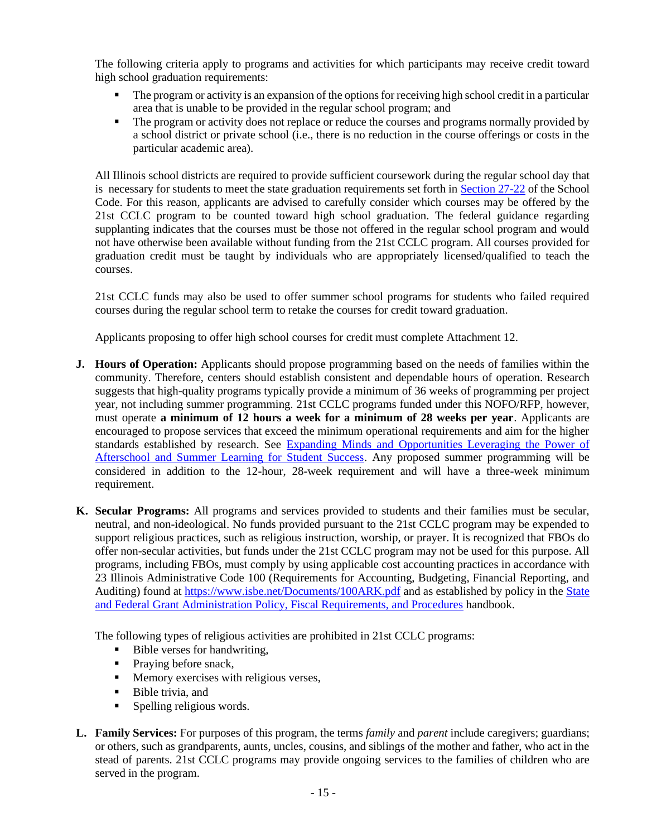The following criteria apply to programs and activities for which participants may receive credit toward high school graduation requirements:

- The program or activity is an expansion of the options for receiving high school credit in a particular area that is unable to be provided in the regular school program; and
- The program or activity does not replace or reduce the courses and programs normally provided by a school district or private school (i.e., there is no reduction in the course offerings or costs in the particular academic area).

All Illinois school districts are required to provide sufficient coursework during the regular school day that is necessary for students to meet the state graduation requirements set forth i[n Section 27-22](http://ilga.gov/legislation/ilcs/fulltext.asp?DocName=010500050K27-22) of the School Code. For this reason, applicants are advised to carefully consider which courses may be offered by the 21st CCLC program to be counted toward high school graduation. The federal guidance regarding supplanting indicates that the courses must be those not offered in the regular school program and would not have otherwise been available without funding from the 21st CCLC program. All courses provided for graduation credit must be taught by individuals who are appropriately licensed/qualified to teach the courses.

21st CCLC funds may also be used to offer summer school programs for students who failed required courses during the regular school term to retake the courses for credit toward graduation.

Applicants proposing to offer high school courses for credit must complete Attachment 12.

- **J. Hours of Operation:** Applicants should propose programming based on the needs of families within the community. Therefore, centers should establish consistent and dependable hours of operation. Research suggests that high-quality programs typically provide a minimum of 36 weeks of programming per project year, not including summer programming. 21st CCLC programs funded under this NOFO/RFP, however, must operate **a minimum of 12 hours a week for a minimum of 28 weeks per year**. Applicants are encouraged to propose services that exceed the minimum operational requirements and aim for the higher standards established by research. See [Expanding Minds and Opportunities Leveraging the Power of](https://www.expandinglearning.org/)  Afterschool and Summer Learning for Student Success</u>. Any proposed summer programming will be considered in addition to the 12-hour, 28-week requirement and will have a three-week minimum requirement.
- **K. Secular Programs:** All programs and services provided to students and their families must be secular, neutral, and non-ideological. No funds provided pursuant to the 21st CCLC program may be expended to support religious practices, such as religious instruction, worship, or prayer. It is recognized that FBOs do offer non-secular activities, but funds under the 21st CCLC program may not be used for this purpose. All programs, including FBOs, must comply by using applicable cost accounting practices in accordance with 23 Illinois Administrative Code 100 (Requirements for Accounting, Budgeting, Financial Reporting, and Auditing) found at <https://www.isbe.net/Documents/100ARK.pdf> and as established by policy in the [State](https://www.isbe.net/Documents/fiscal_procedure_handbk.pdf#search=state%20and%20federal%20handbook)  [and Federal Grant Administration Policy, Fiscal Requirements, and Procedures](https://www.isbe.net/Documents/fiscal_procedure_handbk.pdf#search=state%20and%20federal%20handbook) handbook.

The following types of religious activities are prohibited in 21st CCLC programs:

- Bible verses for handwriting,
- **•** Praying before snack,
- Memory exercises with religious verses,
- Bible trivia, and
- **•** Spelling religious words.
- **L. Family Services:** For purposes of this program, the terms *family* and *parent* include caregivers; guardians; or others, such as grandparents, aunts, uncles, cousins, and siblings of the mother and father, who act in the stead of parents. 21st CCLC programs may provide ongoing services to the families of children who are served in the program.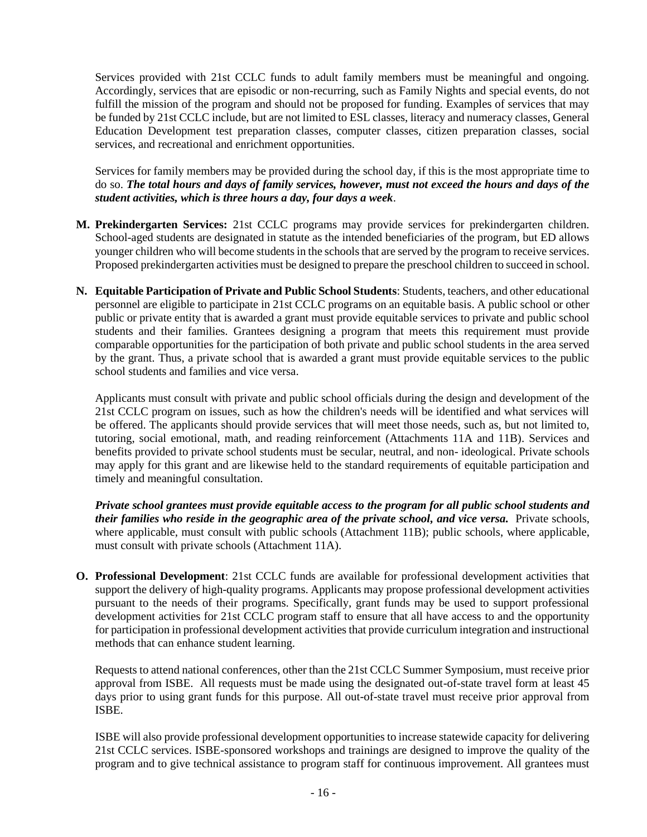Services provided with 21st CCLC funds to adult family members must be meaningful and ongoing. Accordingly, services that are episodic or non-recurring, such as Family Nights and special events, do not fulfill the mission of the program and should not be proposed for funding. Examples of services that may be funded by 21st CCLC include, but are not limited to ESL classes, literacy and numeracy classes, General Education Development test preparation classes, computer classes, citizen preparation classes, social services, and recreational and enrichment opportunities.

Services for family members may be provided during the school day, if this is the most appropriate time to do so. *The total hours and days of family services, however, must not exceed the hours and days of the student activities, which is three hours a day, four days a week*.

- **M. Prekindergarten Services:** 21st CCLC programs may provide services for prekindergarten children. School-aged students are designated in statute as the intended beneficiaries of the program, but ED allows younger children who will become students in the schools that are served by the program to receive services. Proposed prekindergarten activities must be designed to prepare the preschool children to succeed in school.
- **N. Equitable Participation of Private and Public School Students**: Students, teachers, and other educational personnel are eligible to participate in 21st CCLC programs on an equitable basis. A public school or other public or private entity that is awarded a grant must provide equitable services to private and public school students and their families. Grantees designing a program that meets this requirement must provide comparable opportunities for the participation of both private and public school students in the area served by the grant. Thus, a private school that is awarded a grant must provide equitable services to the public school students and families and vice versa.

Applicants must consult with private and public school officials during the design and development of the 21st CCLC program on issues, such as how the children's needs will be identified and what services will be offered. The applicants should provide services that will meet those needs, such as, but not limited to, tutoring, social emotional, math, and reading reinforcement (Attachments 11A and 11B). Services and benefits provided to private school students must be secular, neutral, and non- ideological. Private schools may apply for this grant and are likewise held to the standard requirements of equitable participation and timely and meaningful consultation.

*Private school grantees must provide equitable access to the program for all public school students and their families who reside in the geographic area of the private school, and vice versa.* Private schools, where applicable, must consult with public schools (Attachment 11B); public schools, where applicable, must consult with private schools (Attachment 11A).

**O. Professional Development**: 21st CCLC funds are available for professional development activities that support the delivery of high-quality programs. Applicants may propose professional development activities pursuant to the needs of their programs. Specifically, grant funds may be used to support professional development activities for 21st CCLC program staff to ensure that all have access to and the opportunity for participation in professional development activities that provide curriculum integration and instructional methods that can enhance student learning.

Requests to attend national conferences, other than the 21st CCLC Summer Symposium, must receive prior approval from ISBE. All requests must be made using the designated out-of-state travel form at least 45 days prior to using grant funds for this purpose. All out-of-state travel must receive prior approval from ISBE.

ISBE will also provide professional development opportunities to increase statewide capacity for delivering 21st CCLC services. ISBE-sponsored workshops and trainings are designed to improve the quality of the program and to give technical assistance to program staff for continuous improvement. All grantees must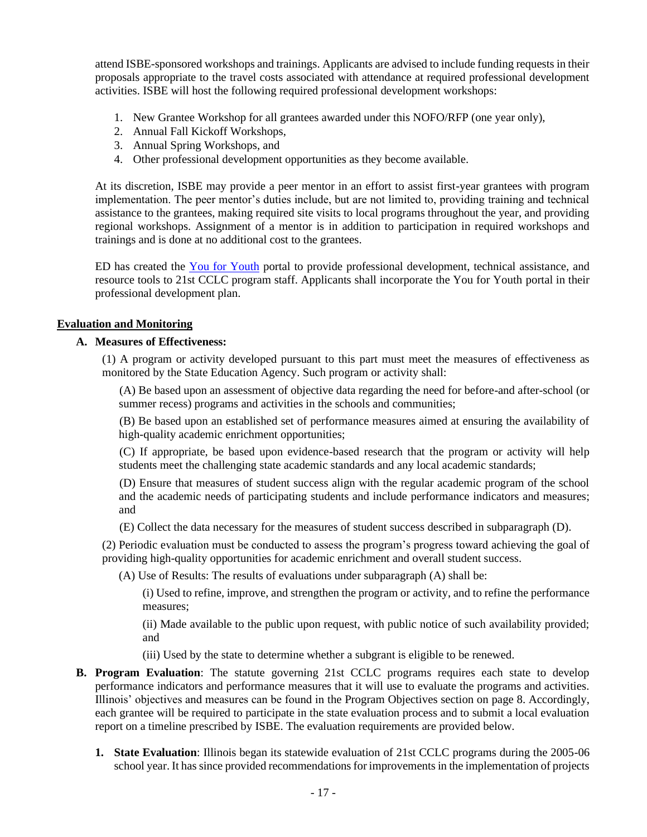attend ISBE-sponsored workshops and trainings. Applicants are advised to include funding requests in their proposals appropriate to the travel costs associated with attendance at required professional development activities. ISBE will host the following required professional development workshops:

- 1. New Grantee Workshop for all grantees awarded under this NOFO/RFP (one year only),
- 2. Annual Fall Kickoff Workshops,
- 3. Annual Spring Workshops, and
- 4. Other professional development opportunities as they become available.

At its discretion, ISBE may provide a peer mentor in an effort to assist first-year grantees with program implementation. The peer mentor's duties include, but are not limited to, providing training and technical assistance to the grantees, making required site visits to local programs throughout the year, and providing regional workshops. Assignment of a mentor is in addition to participation in required workshops and trainings and is done at no additional cost to the grantees.

ED has created the [You for Youth](https://y4y.ed.gov/) portal to provide professional development, technical assistance, and resource tools to 21st CCLC program staff. Applicants shall incorporate the You for Youth portal in their professional development plan.

#### **Evaluation and Monitoring**

#### **A. Measures of Effectiveness:**

(1) A program or activity developed pursuant to this part must meet the measures of effectiveness as monitored by the State Education Agency. Such program or activity shall:

(A) Be based upon an assessment of objective data regarding the need for before-and after-school (or summer recess) programs and activities in the schools and communities;

(B) Be based upon an established set of performance measures aimed at ensuring the availability of high-quality academic enrichment opportunities;

(C) If appropriate, be based upon evidence-based research that the program or activity will help students meet the challenging state academic standards and any local academic standards;

(D) Ensure that measures of student success align with the regular academic program of the school and the academic needs of participating students and include performance indicators and measures; and

(E) Collect the data necessary for the measures of student success described in subparagraph (D).

(2) Periodic evaluation must be conducted to assess the program's progress toward achieving the goal of providing high-quality opportunities for academic enrichment and overall student success.

(A) Use of Results: The results of evaluations under subparagraph (A) shall be:

(i) Used to refine, improve, and strengthen the program or activity, and to refine the performance measures;

(ii) Made available to the public upon request, with public notice of such availability provided; and

- (iii) Used by the state to determine whether a subgrant is eligible to be renewed.
- **B. Program Evaluation**: The statute governing 21st CCLC programs requires each state to develop performance indicators and performance measures that it will use to evaluate the programs and activities. Illinois' objectives and measures can be found in the Program Objectives section on page 8. Accordingly, each grantee will be required to participate in the state evaluation process and to submit a local evaluation report on a timeline prescribed by ISBE. The evaluation requirements are provided below.
	- **1. State Evaluation**: Illinois began its statewide evaluation of 21st CCLC programs during the 2005-06 school year. It has since provided recommendations for improvements in the implementation of projects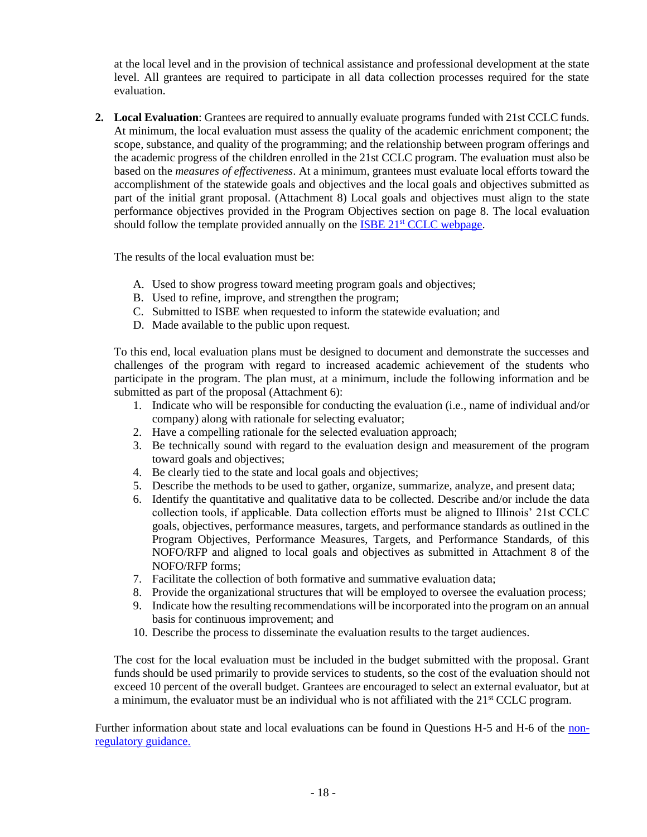at the local level and in the provision of technical assistance and professional development at the state level. All grantees are required to participate in all data collection processes required for the state evaluation.

**2. Local Evaluation**: Grantees are required to annually evaluate programs funded with 21st CCLC funds. At minimum, the local evaluation must assess the quality of the academic enrichment component; the scope, substance, and quality of the programming; and the relationship between program offerings and the academic progress of the children enrolled in the 21st CCLC program. The evaluation must also be based on the *measures of effectiveness*. At a minimum, grantees must evaluate local efforts toward the accomplishment of the statewide goals and objectives and the local goals and objectives submitted as part of the initial grant proposal. (Attachment 8) Local goals and objectives must align to the state performance objectives provided in the Program Objectives section on page 8. The local evaluation should follow the template provided annually on the ISBE  $21<sup>st</sup> CCLC$  webpage.

The results of the local evaluation must be:

- A. Used to show progress toward meeting program goals and objectives;
- B. Used to refine, improve, and strengthen the program;
- C. Submitted to ISBE when requested to inform the statewide evaluation; and
- D. Made available to the public upon request.

To this end, local evaluation plans must be designed to document and demonstrate the successes and challenges of the program with regard to increased academic achievement of the students who participate in the program. The plan must, at a minimum, include the following information and be submitted as part of the proposal (Attachment 6):

- 1. Indicate who will be responsible for conducting the evaluation (i.e., name of individual and/or company) along with rationale for selecting evaluator;
- 2. Have a compelling rationale for the selected evaluation approach;
- 3. Be technically sound with regard to the evaluation design and measurement of the program toward goals and objectives;
- 4. Be clearly tied to the state and local goals and objectives;
- 5. Describe the methods to be used to gather, organize, summarize, analyze, and present data;
- 6. Identify the quantitative and qualitative data to be collected. Describe and/or include the data collection tools, if applicable. Data collection efforts must be aligned to Illinois' 21st CCLC goals, objectives, performance measures, targets, and performance standards as outlined in the Program Objectives, Performance Measures, Targets, and Performance Standards, of this NOFO/RFP and aligned to local goals and objectives as submitted in Attachment 8 of the NOFO/RFP forms;
- 7. Facilitate the collection of both formative and summative evaluation data;
- 8. Provide the organizational structures that will be employed to oversee the evaluation process;
- 9. Indicate how the resulting recommendations will be incorporated into the program on an annual basis for continuous improvement; and
- 10. Describe the process to disseminate the evaluation results to the target audiences.

The cost for the local evaluation must be included in the budget submitted with the proposal. Grant funds should be used primarily to provide services to students, so the cost of the evaluation should not exceed 10 percent of the overall budget. Grantees are encouraged to select an external evaluator, but at a minimum, the evaluator must be an individual who is not affiliated with the  $21<sup>st</sup>$  CCLC program.

Further information about state and local evaluations can be found in Questions H-5 and H-6 of the [non](http://www.ed.gov/programs/21stcclc/guidance2003.pdf)[regulatory guidance.](http://www.ed.gov/programs/21stcclc/guidance2003.pdf)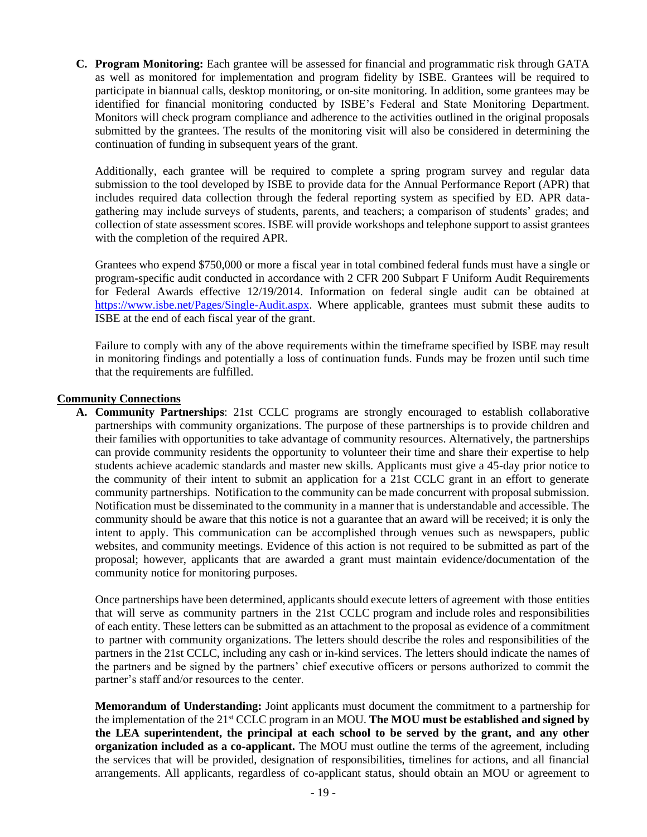**C. Program Monitoring:** Each grantee will be assessed for financial and programmatic risk through GATA as well as monitored for implementation and program fidelity by ISBE. Grantees will be required to participate in biannual calls, desktop monitoring, or on-site monitoring. In addition, some grantees may be identified for financial monitoring conducted by ISBE's Federal and State Monitoring Department. Monitors will check program compliance and adherence to the activities outlined in the original proposals submitted by the grantees. The results of the monitoring visit will also be considered in determining the continuation of funding in subsequent years of the grant.

Additionally, each grantee will be required to complete a spring program survey and regular data submission to the tool developed by ISBE to provide data for the Annual Performance Report (APR) that includes required data collection through the federal reporting system as specified by ED. APR datagathering may include surveys of students, parents, and teachers; a comparison of students' grades; and collection of state assessment scores. ISBE will provide workshops and telephone support to assist grantees with the completion of the required APR.

Grantees who expend \$750,000 or more a fiscal year in total combined federal funds must have a single or program-specific audit conducted in accordance with 2 CFR 200 Subpart F Uniform Audit Requirements for Federal Awards effective 12/19/2014. Information on federal single audit can be obtained at [https://www.isbe.net/Pages/Single-Audit.aspx.](https://www.isbe.net/Pages/Single-Audit.aspx) Where applicable, grantees must submit these audits to ISBE at the end of each fiscal year of the grant.

Failure to comply with any of the above requirements within the timeframe specified by ISBE may result in monitoring findings and potentially a loss of continuation funds. Funds may be frozen until such time that the requirements are fulfilled.

### **Community Connections**

**A. Community Partnerships**: 21st CCLC programs are strongly encouraged to establish collaborative partnerships with community organizations. The purpose of these partnerships is to provide children and their families with opportunities to take advantage of community resources. Alternatively, the partnerships can provide community residents the opportunity to volunteer their time and share their expertise to help students achieve academic standards and master new skills. Applicants must give a 45-day prior notice to the community of their intent to submit an application for a 21st CCLC grant in an effort to generate community partnerships. Notification to the community can be made concurrent with proposal submission. Notification must be disseminated to the community in a manner that is understandable and accessible. The community should be aware that this notice is not a guarantee that an award will be received; it is only the intent to apply. This communication can be accomplished through venues such as newspapers, public websites, and community meetings. Evidence of this action is not required to be submitted as part of the proposal; however, applicants that are awarded a grant must maintain evidence/documentation of the community notice for monitoring purposes.

Once partnerships have been determined, applicants should execute letters of agreement with those entities that will serve as community partners in the 21st CCLC program and include roles and responsibilities of each entity. These letters can be submitted as an attachment to the proposal as evidence of a commitment to partner with community organizations. The letters should describe the roles and responsibilities of the partners in the 21st CCLC, including any cash or in-kind services. The letters should indicate the names of the partners and be signed by the partners' chief executive officers or persons authorized to commit the partner's staff and/or resources to the center.

**Memorandum of Understanding:** Joint applicants must document the commitment to a partnership for the implementation of the 21st CCLC program in an MOU. **The MOU must be established and signed by the LEA superintendent, the principal at each school to be served by the grant, and any other organization included as a co-applicant.** The MOU must outline the terms of the agreement, including the services that will be provided, designation of responsibilities, timelines for actions, and all financial arrangements. All applicants, regardless of co-applicant status, should obtain an MOU or agreement to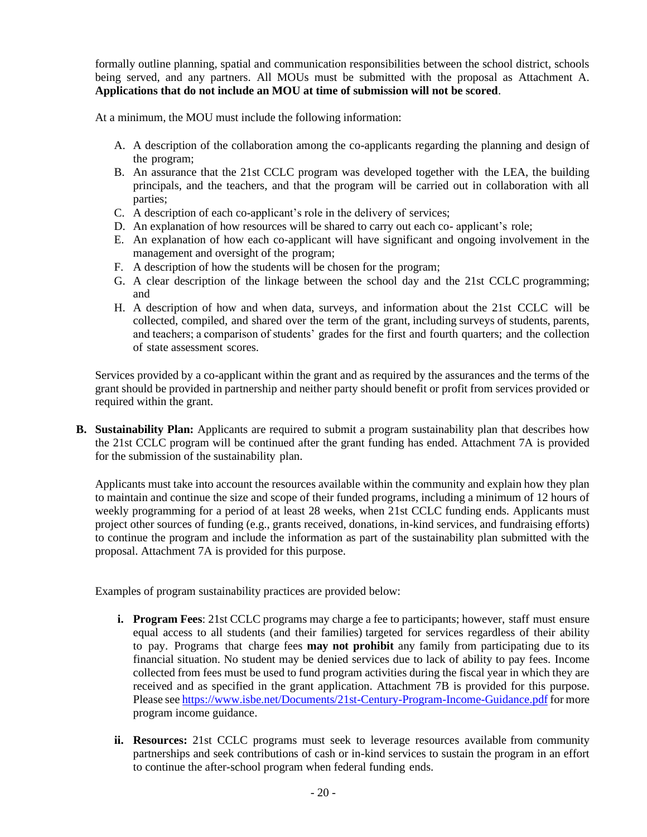formally outline planning, spatial and communication responsibilities between the school district, schools being served, and any partners. All MOUs must be submitted with the proposal as Attachment A. **Applications that do not include an MOU at time of submission will not be scored**.

At a minimum, the MOU must include the following information:

- A. A description of the collaboration among the co-applicants regarding the planning and design of the program;
- B. An assurance that the 21st CCLC program was developed together with the LEA, the building principals, and the teachers, and that the program will be carried out in collaboration with all parties;
- C. A description of each co-applicant's role in the delivery of services;
- D. An explanation of how resources will be shared to carry out each co- applicant's role;
- E. An explanation of how each co-applicant will have significant and ongoing involvement in the management and oversight of the program;
- F. A description of how the students will be chosen for the program;
- G. A clear description of the linkage between the school day and the 21st CCLC programming; and
- H. A description of how and when data, surveys, and information about the 21st CCLC will be collected, compiled, and shared over the term of the grant, including surveys of students, parents, and teachers; a comparison of students' grades for the first and fourth quarters; and the collection of state assessment scores.

Services provided by a co-applicant within the grant and as required by the assurances and the terms of the grant should be provided in partnership and neither party should benefit or profit from services provided or required within the grant.

**B.** Sustainability Plan: Applicants are required to submit a program sustainability plan that describes how the 21st CCLC program will be continued after the grant funding has ended. Attachment 7A is provided for the submission of the sustainability plan.

Applicants must take into account the resources available within the community and explain how they plan to maintain and continue the size and scope of their funded programs, including a minimum of 12 hours of weekly programming for a period of at least 28 weeks, when 21st CCLC funding ends. Applicants must project other sources of funding (e.g., grants received, donations, in-kind services, and fundraising efforts) to continue the program and include the information as part of the sustainability plan submitted with the proposal. Attachment 7A is provided for this purpose.

Examples of program sustainability practices are provided below:

- **i. Program Fees**: 21st CCLC programs may charge a fee to participants; however, staff must ensure equal access to all students (and their families) targeted for services regardless of their ability to pay. Programs that charge fees **may not prohibit** any family from participating due to its financial situation. No student may be denied services due to lack of ability to pay fees. Income collected from fees must be used to fund program activities during the fiscal year in which they are received and as specified in the grant application. Attachment 7B is provided for this purpose. Please se[e https://www.isbe.net/Documents/21st-Century-Program-Income-Guidance.pdf](https://www.isbe.net/Documents/21st-Century-Program-Income-Guidance.pdf) for more program income guidance.
- **ii. Resources:** 21st CCLC programs must seek to leverage resources available from community partnerships and seek contributions of cash or in-kind services to sustain the program in an effort to continue the after-school program when federal funding ends.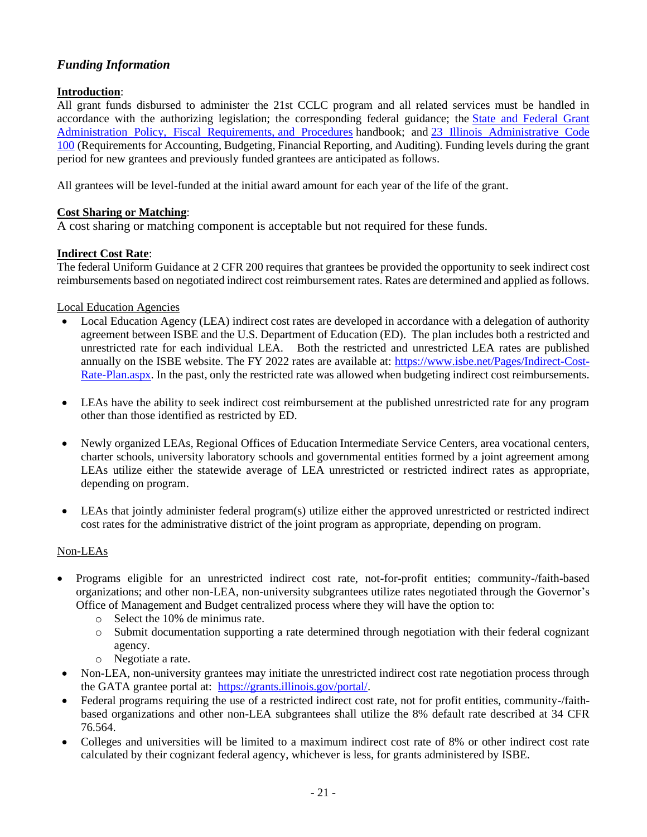## *Funding Information*

## **Introduction**:

All grant funds disbursed to administer the 21st CCLC program and all related services must be handled in accordance with the authorizing legislation; the corresponding federal guidance; the [State and Federal Grant](https://www.isbe.net/Documents/fiscal_procedure_handbk.pdf#search=state%20and%20federal%20grant%20administration%20handbook)  [Administration Policy, Fiscal Requirements,](https://www.isbe.net/Documents/fiscal_procedure_handbk.pdf#search=state%20and%20federal%20grant%20administration%20handbook) and Procedures handbook; and [23 Illinois Administrative Code](https://www.isbe.net/Documents/100ARK.pdf)  [100](https://www.isbe.net/Documents/100ARK.pdf) (Requirements for Accounting, Budgeting, Financial Reporting, and Auditing). Funding levels during the grant period for new grantees and previously funded grantees are anticipated as follows.

All grantees will be level-funded at the initial award amount for each year of the life of the grant.

## **Cost Sharing or Matching**:

A cost sharing or matching component is acceptable but not required for these funds.

## **Indirect Cost Rate**:

The federal Uniform Guidance at 2 CFR 200 requires that grantees be provided the opportunity to seek indirect cost reimbursements based on negotiated indirect cost reimbursement rates. Rates are determined and applied as follows.

Local Education Agencies

- Local Education Agency (LEA) indirect cost rates are developed in accordance with a delegation of authority agreement between ISBE and the U.S. Department of Education (ED). The plan includes both a restricted and unrestricted rate for each individual LEA. Both the restricted and unrestricted LEA rates are published annually on the ISBE website. The FY 2022 rates are available at: [https://www.isbe.net/Pages/Indirect-Cost-](https://www.isbe.net/Pages/Indirect-Cost-Rate-Plan.aspx)[Rate-Plan.aspx.](https://www.isbe.net/Pages/Indirect-Cost-Rate-Plan.aspx) In the past, only the restricted rate was allowed when budgeting indirect cost reimbursements.
- LEAs have the ability to seek indirect cost reimbursement at the published unrestricted rate for any program other than those identified as restricted by ED.
- Newly organized LEAs, Regional Offices of Education Intermediate Service Centers, area vocational centers, charter schools, university laboratory schools and governmental entities formed by a joint agreement among LEAs utilize either the statewide average of LEA unrestricted or restricted indirect rates as appropriate, depending on program.
- LEAs that jointly administer federal program(s) utilize either the approved unrestricted or restricted indirect cost rates for the administrative district of the joint program as appropriate, depending on program.

## Non-LEAs

- Programs eligible for an unrestricted indirect cost rate, not-for-profit entities; community-/faith-based organizations; and other non-LEA, non-university subgrantees utilize rates negotiated through the Governor's Office of Management and Budget centralized process where they will have the option to:
	- o Select the 10% de minimus rate.
	- o Submit documentation supporting a rate determined through negotiation with their federal cognizant agency.
	- o Negotiate a rate.
- Non-LEA, non-university grantees may initiate the unrestricted indirect cost rate negotiation process through the GATA grantee portal at: [https://grants.illinois.gov/portal/.](https://grants.illinois.gov/portal/)
- Federal programs requiring the use of a restricted indirect cost rate, not for profit entities, community-/faithbased organizations and other non-LEA subgrantees shall utilize the 8% default rate described at 34 CFR 76.564.
- Colleges and universities will be limited to a maximum indirect cost rate of 8% or other indirect cost rate calculated by their cognizant federal agency, whichever is less, for grants administered by ISBE.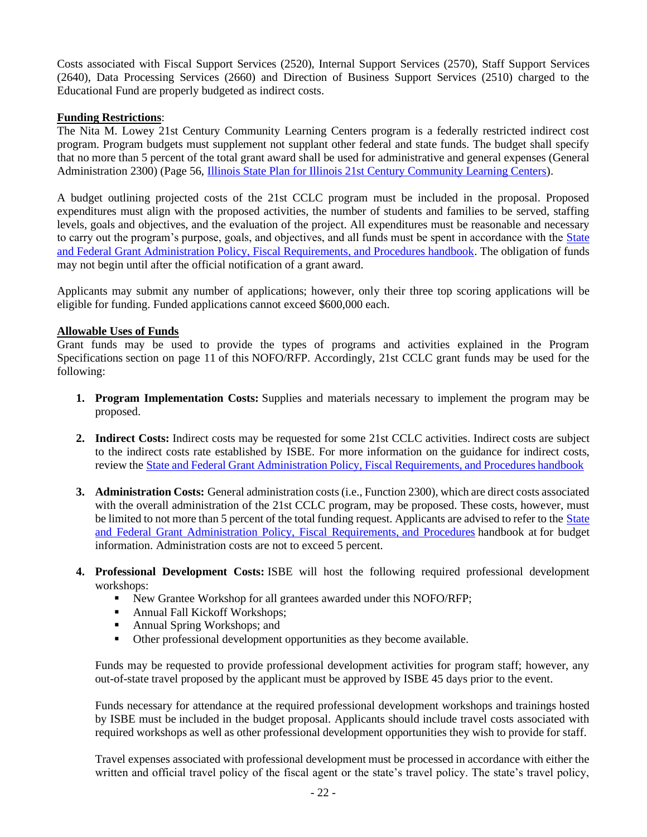Costs associated with Fiscal Support Services (2520), Internal Support Services (2570), Staff Support Services (2640), Data Processing Services (2660) and Direction of Business Support Services (2510) charged to the Educational Fund are properly budgeted as indirect costs.

#### **Funding Restrictions**:

The Nita M. Lowey 21st Century Community Learning Centers program is a federally restricted indirect cost program. Program budgets must supplement not supplant other federal and state funds. The budget shall specify that no more than 5 percent of the total grant award shall be used for administrative and general expenses (General Administration 2300) (Page 56, [Illinois State Plan for Illinois 21st Century Community Learning Centers\)](https://www.isbe.net/Documents/21stCCLC_state_plan0711.pdf).

A budget outlining projected costs of the 21st CCLC program must be included in the proposal. Proposed expenditures must align with the proposed activities, the number of students and families to be served, staffing levels, goals and objectives, and the evaluation of the project. All expenditures must be reasonable and necessary to carry out the program's purpose, goals, and objectives, and all funds must be spent in accordance with the **State** [and Federal Grant Administration Policy, Fiscal Requirements, and Procedures handbook.](https://www.isbe.net/Documents/fiscal_procedure_handbk.pdf) The obligation of funds may not begin until after the official notification of a grant award.

Applicants may submit any number of applications; however, only their three top scoring applications will be eligible for funding. Funded applications cannot exceed \$600,000 each.

### **Allowable Uses of Funds**

Grant funds may be used to provide the types of programs and activities explained in the Program Specifications section on page 11 of this NOFO/RFP. Accordingly, 21st CCLC grant funds may be used for the following:

- **1. Program Implementation Costs:** Supplies and materials necessary to implement the program may be proposed.
- **2. Indirect Costs:** Indirect costs may be requested for some 21st CCLC activities. Indirect costs are subject to the indirect costs rate established by ISBE. For more information on the guidance for indirect costs, review the [State and Federal Grant Administration Policy, Fiscal Requirements, and Procedures handbook](https://www.isbe.net/Documents/fiscal_procedure_handbk.pdf)
- **3. Administration Costs:** General administration costs (i.e., Function 2300), which are direct costs associated with the overall administration of the 21st CCLC program, may be proposed. These costs, however, must be limited to not more than 5 percent of the total funding request. Applicants are advised to refer to the State [and Federal Grant Administration Policy, Fiscal Requirements,](https://www.isbe.net/Documents/fiscal_procedure_handbk.pdf) and Procedures handbook at for budget information. Administration costs are not to exceed 5 percent.
- **4. Professional Development Costs:** ISBE will host the following required professional development workshops:
	- **•** New Grantee Workshop for all grantees awarded under this NOFO/RFP;
	- Annual Fall Kickoff Workshops;
	- Annual Spring Workshops; and
	- Other professional development opportunities as they become available.

Funds may be requested to provide professional development activities for program staff; however, any out-of-state travel proposed by the applicant must be approved by ISBE 45 days prior to the event.

Funds necessary for attendance at the required professional development workshops and trainings hosted by ISBE must be included in the budget proposal. Applicants should include travel costs associated with required workshops as well as other professional development opportunities they wish to provide for staff.

Travel expenses associated with professional development must be processed in accordance with either the written and official travel policy of the fiscal agent or the state's travel policy. The state's travel policy,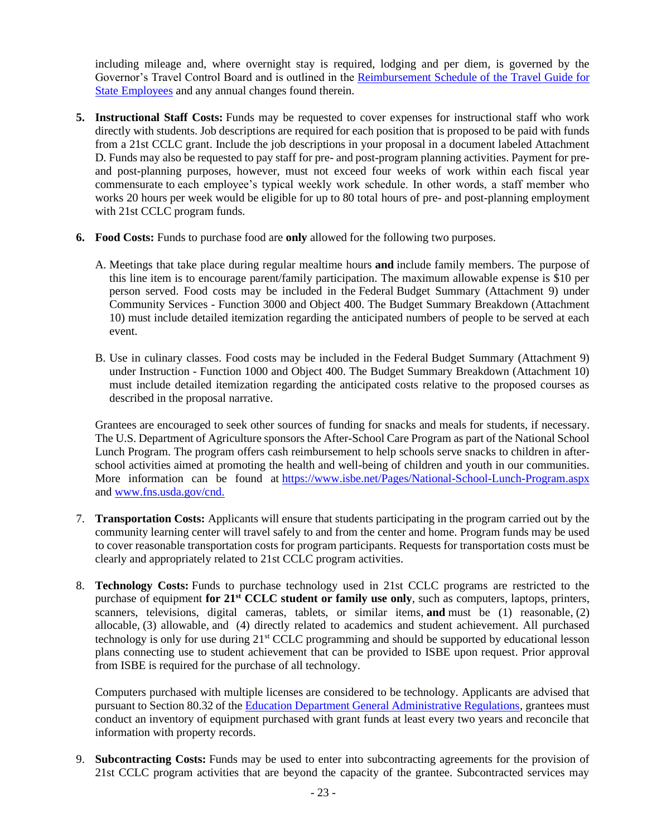including mileage and, where overnight stay is required, lodging and per diem, is governed by the Governor's Travel Control Board and is outlined in the [Reimbursement Schedule of the Travel Guide for](https://www2.illinois.gov/cms/Employees/travel/Pages/TravelReimbursement.aspx)  [State Employees](https://www2.illinois.gov/cms/Employees/travel/Pages/TravelReimbursement.aspx) and any annual changes found therein.

- **5. Instructional Staff Costs:** Funds may be requested to cover expenses for instructional staff who work directly with students. Job descriptions are required for each position that is proposed to be paid with funds from a 21st CCLC grant. Include the job descriptions in your proposal in a document labeled Attachment D. Funds may also be requested to pay staff for pre- and post-program planning activities. Payment for preand post-planning purposes, however, must not exceed four weeks of work within each fiscal year commensurate to each employee's typical weekly work schedule. In other words, a staff member who works 20 hours per week would be eligible for up to 80 total hours of pre- and post-planning employment with 21st CCLC program funds.
- **6. Food Costs:** Funds to purchase food are **only** allowed for the following two purposes.
	- A. Meetings that take place during regular mealtime hours **and** include family members. The purpose of this line item is to encourage parent/family participation. The maximum allowable expense is \$10 per person served. Food costs may be included in the Federal Budget Summary (Attachment 9) under Community Services - Function 3000 and Object 400. The Budget Summary Breakdown (Attachment 10) must include detailed itemization regarding the anticipated numbers of people to be served at each event.
	- B. Use in culinary classes. Food costs may be included in the Federal Budget Summary (Attachment 9) under Instruction - Function 1000 and Object 400. The Budget Summary Breakdown (Attachment 10) must include detailed itemization regarding the anticipated costs relative to the proposed courses as described in the proposal narrative.

Grantees are encouraged to seek other sources of funding for snacks and meals for students, if necessary. The U.S. Department of Agriculture sponsors the After-School Care Program as part of the National School Lunch Program. The program offers cash reimbursement to help schools serve snacks to children in afterschool activities aimed at promoting the health and well-being of children and youth in our communities. More information can be found at <https://www.isbe.net/Pages/National-School-Lunch-Program.aspx> and [www.fns.usda.gov/cnd.](http://www.fns.usda.gov/cnd)

- 7. **Transportation Costs:** Applicants will ensure that students participating in the program carried out by the community learning center will travel safely to and from the center and home. Program funds may be used to cover reasonable transportation costs for program participants. Requests for transportation costs must be clearly and appropriately related to 21st CCLC program activities.
- 8. **Technology Costs:** Funds to purchase technology used in 21st CCLC programs are restricted to the purchase of equipment **for 21st CCLC student or family use only**, such as computers, laptops, printers, scanners, televisions, digital cameras, tablets, or similar items, **and** must be (1) reasonable, (2) allocable, (3) allowable, and (4) directly related to academics and student achievement. All purchased technology is only for use during 21<sup>st</sup> CCLC programming and should be supported by educational lesson plans connecting use to student achievement that can be provided to ISBE upon request. Prior approval from ISBE is required for the purchase of all technology.

Computers purchased with multiple licenses are considered to be technology. Applicants are advised that pursuant to Section 80.32 of the [Education Department General Administrative Regulations,](https://www2.ed.gov/policy/fund/reg/edgarReg/edgar.html) grantees must conduct an inventory of equipment purchased with grant funds at least every two years and reconcile that information with property records.

9. **Subcontracting Costs:** Funds may be used to enter into subcontracting agreements for the provision of 21st CCLC program activities that are beyond the capacity of the grantee. Subcontracted services may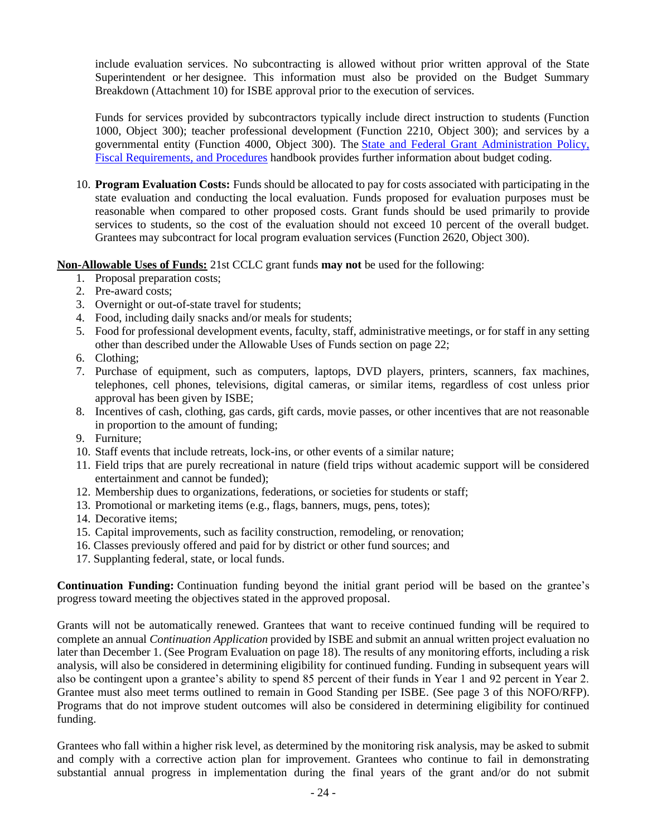include evaluation services. No subcontracting is allowed without prior written approval of the State Superintendent or her designee. This information must also be provided on the Budget Summary Breakdown (Attachment 10) for ISBE approval prior to the execution of services.

Funds for services provided by subcontractors typically include direct instruction to students (Function 1000, Object 300); teacher professional development (Function 2210, Object 300); and services by a governmental entity (Function 4000, Object 300). The [State and Federal Grant Administration Policy,](https://www.isbe.net/Documents/fiscal_procedure_handbk.pdf)  [Fiscal Requirements,](https://www.isbe.net/Documents/fiscal_procedure_handbk.pdf) and Procedures handbook provides further information about budget coding.

10. **Program Evaluation Costs:** Funds should be allocated to pay for costs associated with participating in the state evaluation and conducting the local evaluation. Funds proposed for evaluation purposes must be reasonable when compared to other proposed costs. Grant funds should be used primarily to provide services to students, so the cost of the evaluation should not exceed 10 percent of the overall budget. Grantees may subcontract for local program evaluation services (Function 2620, Object 300).

**Non-Allowable Uses of Funds:** 21st CCLC grant funds **may not** be used for the following:

- 1. Proposal preparation costs;
- 2. Pre-award costs;
- 3. Overnight or out-of-state travel for students;
- 4. Food, including daily snacks and/or meals for students;
- 5. Food for professional development events, faculty, staff, administrative meetings, or for staff in any setting other than described under the Allowable Uses of Funds section on page 22;
- 6. Clothing;
- 7. Purchase of equipment, such as computers, laptops, DVD players, printers, scanners, fax machines, telephones, cell phones, televisions, digital cameras, or similar items, regardless of cost unless prior approval has been given by ISBE;
- 8. Incentives of cash, clothing, gas cards, gift cards, movie passes, or other incentives that are not reasonable in proportion to the amount of funding;
- 9. Furniture;
- 10. Staff events that include retreats, lock-ins, or other events of a similar nature;
- 11. Field trips that are purely recreational in nature (field trips without academic support will be considered entertainment and cannot be funded);
- 12. Membership dues to organizations, federations, or societies for students or staff;
- 13. Promotional or marketing items (e.g., flags, banners, mugs, pens, totes);
- 14. Decorative items;
- 15. Capital improvements, such as facility construction, remodeling, or renovation;
- 16. Classes previously offered and paid for by district or other fund sources; and
- 17. Supplanting federal, state, or local funds.

**Continuation Funding:** Continuation funding beyond the initial grant period will be based on the grantee's progress toward meeting the objectives stated in the approved proposal.

Grants will not be automatically renewed. Grantees that want to receive continued funding will be required to complete an annual *Continuation Application* provided by ISBE and submit an annual written project evaluation no later than December 1. (See Program Evaluation on page 18). The results of any monitoring efforts, including a risk analysis, will also be considered in determining eligibility for continued funding. Funding in subsequent years will also be contingent upon a grantee's ability to spend 85 percent of their funds in Year 1 and 92 percent in Year 2. Grantee must also meet terms outlined to remain in Good Standing per ISBE. (See page 3 of this NOFO/RFP). Programs that do not improve student outcomes will also be considered in determining eligibility for continued funding.

Grantees who fall within a higher risk level, as determined by the monitoring risk analysis, may be asked to submit and comply with a corrective action plan for improvement. Grantees who continue to fail in demonstrating substantial annual progress in implementation during the final years of the grant and/or do not submit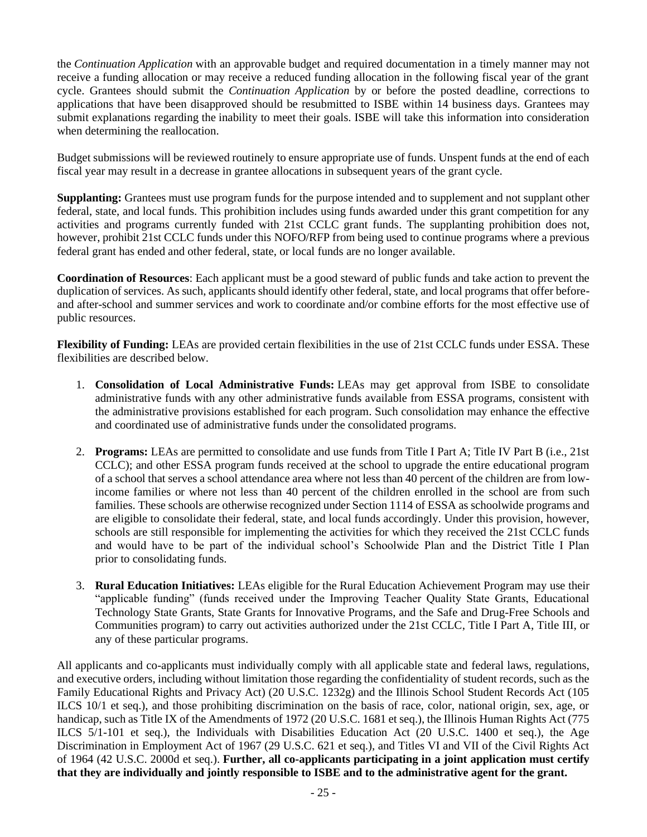the *Continuation Application* with an approvable budget and required documentation in a timely manner may not receive a funding allocation or may receive a reduced funding allocation in the following fiscal year of the grant cycle. Grantees should submit the *Continuation Application* by or before the posted deadline, corrections to applications that have been disapproved should be resubmitted to ISBE within 14 business days. Grantees may submit explanations regarding the inability to meet their goals. ISBE will take this information into consideration when determining the reallocation.

Budget submissions will be reviewed routinely to ensure appropriate use of funds. Unspent funds at the end of each fiscal year may result in a decrease in grantee allocations in subsequent years of the grant cycle.

**Supplanting:** Grantees must use program funds for the purpose intended and to supplement and not supplant other federal, state, and local funds. This prohibition includes using funds awarded under this grant competition for any activities and programs currently funded with 21st CCLC grant funds. The supplanting prohibition does not, however, prohibit 21st CCLC funds under this NOFO/RFP from being used to continue programs where a previous federal grant has ended and other federal, state, or local funds are no longer available.

**Coordination of Resources**: Each applicant must be a good steward of public funds and take action to prevent the duplication of services. As such, applicants should identify other federal, state, and local programs that offer beforeand after-school and summer services and work to coordinate and/or combine efforts for the most effective use of public resources.

**Flexibility of Funding:** LEAs are provided certain flexibilities in the use of 21st CCLC funds under ESSA. These flexibilities are described below.

- 1. **Consolidation of Local Administrative Funds:** LEAs may get approval from ISBE to consolidate administrative funds with any other administrative funds available from ESSA programs, consistent with the administrative provisions established for each program. Such consolidation may enhance the effective and coordinated use of administrative funds under the consolidated programs.
- 2. **Programs:** LEAs are permitted to consolidate and use funds from Title I Part A; Title IV Part B (i.e., 21st CCLC); and other ESSA program funds received at the school to upgrade the entire educational program of a school that serves a school attendance area where not less than 40 percent of the children are from lowincome families or where not less than 40 percent of the children enrolled in the school are from such families. These schools are otherwise recognized under Section 1114 of ESSA as schoolwide programs and are eligible to consolidate their federal, state, and local funds accordingly. Under this provision, however, schools are still responsible for implementing the activities for which they received the 21st CCLC funds and would have to be part of the individual school's Schoolwide Plan and the District Title I Plan prior to consolidating funds.
- 3. **Rural Education Initiatives:** LEAs eligible for the Rural Education Achievement Program may use their "applicable funding" (funds received under the Improving Teacher Quality State Grants, Educational Technology State Grants, State Grants for Innovative Programs, and the Safe and Drug-Free Schools and Communities program) to carry out activities authorized under the 21st CCLC, Title I Part A, Title III, or any of these particular programs.

All applicants and co-applicants must individually comply with all applicable state and federal laws, regulations, and executive orders, including without limitation those regarding the confidentiality of student records, such as the Family Educational Rights and Privacy Act) (20 U.S.C. 1232g) and the Illinois School Student Records Act (105 ILCS 10/1 et seq.), and those prohibiting discrimination on the basis of race, color, national origin, sex, age, or handicap, such as Title IX of the Amendments of 1972 (20 U.S.C. 1681 et seq.), the Illinois Human Rights Act (775 ILCS 5/1-101 et seq.), the Individuals with Disabilities Education Act (20 U.S.C. 1400 et seq.), the Age Discrimination in Employment Act of 1967 (29 U.S.C. 621 et seq.), and Titles VI and VII of the Civil Rights Act of 1964 (42 U.S.C. 2000d et seq.). **Further, all co-applicants participating in a joint application must certify that they are individually and jointly responsible to ISBE and to the administrative agent for the grant.**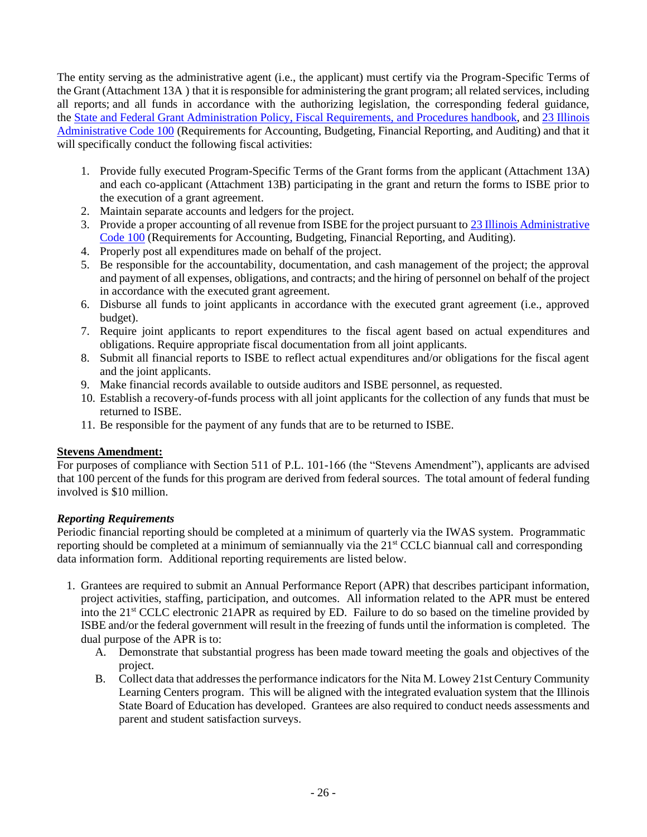The entity serving as the administrative agent (i.e., the applicant) must certify via the Program-Specific Terms of the Grant (Attachment 13A ) that it is responsible for administering the grant program; all related services, including all reports; and all funds in accordance with the authorizing legislation, the corresponding federal guidance, the [State and Federal Grant Administration Policy, Fiscal Requirements,](https://www.isbe.net/Documents/fiscal_procedure_handbk.pdf) and Procedures handbook, and [23 Illinois](https://www.isbe.net/Documents/100ARK.pdf)  [Administrative Code 100](https://www.isbe.net/Documents/100ARK.pdf) (Requirements for Accounting, Budgeting, Financial Reporting, and Auditing) and that it will specifically conduct the following fiscal activities:

- 1. Provide fully executed Program-Specific Terms of the Grant forms from the applicant (Attachment 13A) and each co-applicant (Attachment 13B) participating in the grant and return the forms to ISBE prior to the execution of a grant agreement.
- 2. Maintain separate accounts and ledgers for the project.
- 3. Provide a proper accounting of all revenue from ISBE for the project pursuant to [23 Illinois Administrative](https://www.isbe.net/Documents/100ARK.pdf)  [Code 100](https://www.isbe.net/Documents/100ARK.pdf) (Requirements for Accounting, Budgeting, Financial Reporting, and Auditing).
- 4. Properly post all expenditures made on behalf of the project.
- 5. Be responsible for the accountability, documentation, and cash management of the project; the approval and payment of all expenses, obligations, and contracts; and the hiring of personnel on behalf of the project in accordance with the executed grant agreement.
- 6. Disburse all funds to joint applicants in accordance with the executed grant agreement (i.e., approved budget).
- 7. Require joint applicants to report expenditures to the fiscal agent based on actual expenditures and obligations. Require appropriate fiscal documentation from all joint applicants.
- 8. Submit all financial reports to ISBE to reflect actual expenditures and/or obligations for the fiscal agent and the joint applicants.
- 9. Make financial records available to outside auditors and ISBE personnel, as requested.
- 10. Establish a recovery-of-funds process with all joint applicants for the collection of any funds that must be returned to ISBE.
- 11. Be responsible for the payment of any funds that are to be returned to ISBE.

## **Stevens Amendment:**

For purposes of compliance with Section 511 of P.L. 101-166 (the "Stevens Amendment"), applicants are advised that 100 percent of the funds for this program are derived from federal sources. The total amount of federal funding involved is \$10 million.

## *Reporting Requirements*

Periodic financial reporting should be completed at a minimum of quarterly via the IWAS system. Programmatic reporting should be completed at a minimum of semiannually via the 21<sup>st</sup> CCLC biannual call and corresponding data information form. Additional reporting requirements are listed below.

- 1. Grantees are required to submit an Annual Performance Report (APR) that describes participant information, project activities, staffing, participation, and outcomes. All information related to the APR must be entered into the 21st CCLC electronic 21APR as required by ED. Failure to do so based on the timeline provided by ISBE and/or the federal government will result in the freezing of funds until the information is completed. The dual purpose of the APR is to:
	- A. Demonstrate that substantial progress has been made toward meeting the goals and objectives of the project.
	- B. Collect data that addresses the performance indicators for the Nita M. Lowey 21st Century Community Learning Centers program. This will be aligned with the integrated evaluation system that the Illinois State Board of Education has developed. Grantees are also required to conduct needs assessments and parent and student satisfaction surveys.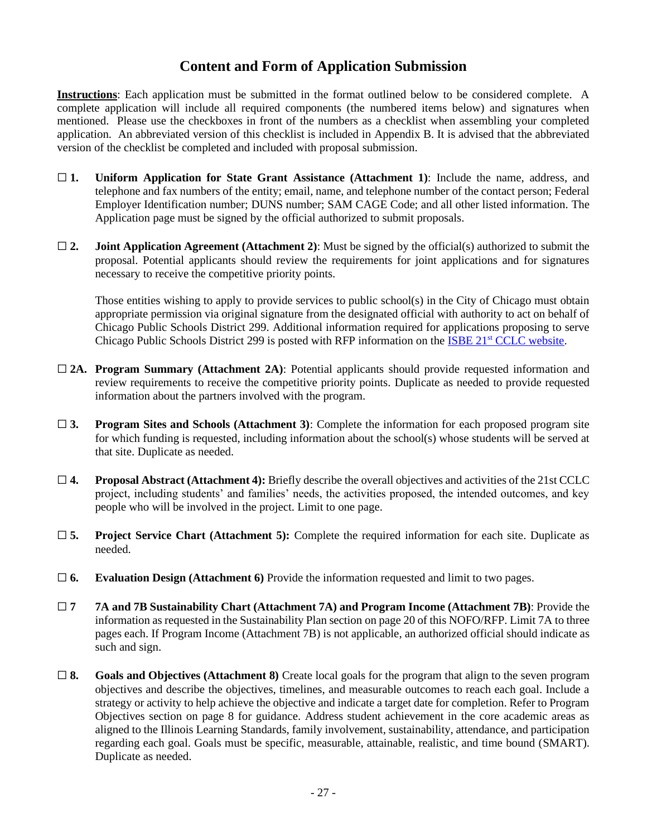# **Content and Form of Application Submission**

**Instructions**: Each application must be submitted in the format outlined below to be considered complete. A complete application will include all required components (the numbered items below) and signatures when mentioned. Please use the checkboxes in front of the numbers as a checklist when assembling your completed application. An abbreviated version of this checklist is included in Appendix B. It is advised that the abbreviated version of the checklist be completed and included with proposal submission.

- ☐ **1. Uniform Application for State Grant Assistance (Attachment 1)**: Include the name, address, and telephone and fax numbers of the entity; email, name, and telephone number of the contact person; Federal Employer Identification number; DUNS number; SAM CAGE Code; and all other listed information. The Application page must be signed by the official authorized to submit proposals.
- $\Box$  **2. Joint Application Agreement (Attachment 2)**: Must be signed by the official(s) authorized to submit the proposal. Potential applicants should review the requirements for joint applications and for signatures necessary to receive the competitive priority points.

Those entities wishing to apply to provide services to public school(s) in the City of Chicago must obtain appropriate permission via original signature from the designated official with authority to act on behalf of Chicago Public Schools District 299. Additional information required for applications proposing to serve Chicago Public Schools District 299 is posted with RFP information on the ISBE 21<sup>st</sup> [CCLC website.](https://www.isbe.net/Pages/21st-Century-Community-Learning-Centers.aspx)

- □ 2A. **Program Summary (Attachment 2A)**: Potential applicants should provide requested information and review requirements to receive the competitive priority points. Duplicate as needed to provide requested information about the partners involved with the program.
- ☐ **3. Program Sites and Schools (Attachment 3)**: Complete the information for each proposed program site for which funding is requested, including information about the school(s) whose students will be served at that site. Duplicate as needed.
- ☐ **4. Proposal Abstract (Attachment 4):** Briefly describe the overall objectives and activities of the 21st CCLC project, including students' and families' needs, the activities proposed, the intended outcomes, and key people who will be involved in the project. Limit to one page.
- ☐ **5. Project Service Chart (Attachment 5):** Complete the required information for each site. Duplicate as needed.
- ☐ **6. Evaluation Design (Attachment 6)** Provide the information requested and limit to two pages.
- ☐ **7 7A and 7B Sustainability Chart (Attachment 7A) and Program Income (Attachment 7B)**: Provide the information as requested in the Sustainability Plan section on page 20 of this NOFO/RFP. Limit 7A to three pages each. If Program Income (Attachment 7B) is not applicable, an authorized official should indicate as such and sign.
- ☐ **8. Goals and Objectives (Attachment 8)** Create local goals for the program that align to the seven program objectives and describe the objectives, timelines, and measurable outcomes to reach each goal. Include a strategy or activity to help achieve the objective and indicate a target date for completion. Refer to Program Objectives section on page 8 for guidance. Address student achievement in the core academic areas as aligned to the Illinois Learning Standards, family involvement, sustainability, attendance, and participation regarding each goal. Goals must be specific, measurable, attainable, realistic, and time bound (SMART). Duplicate as needed.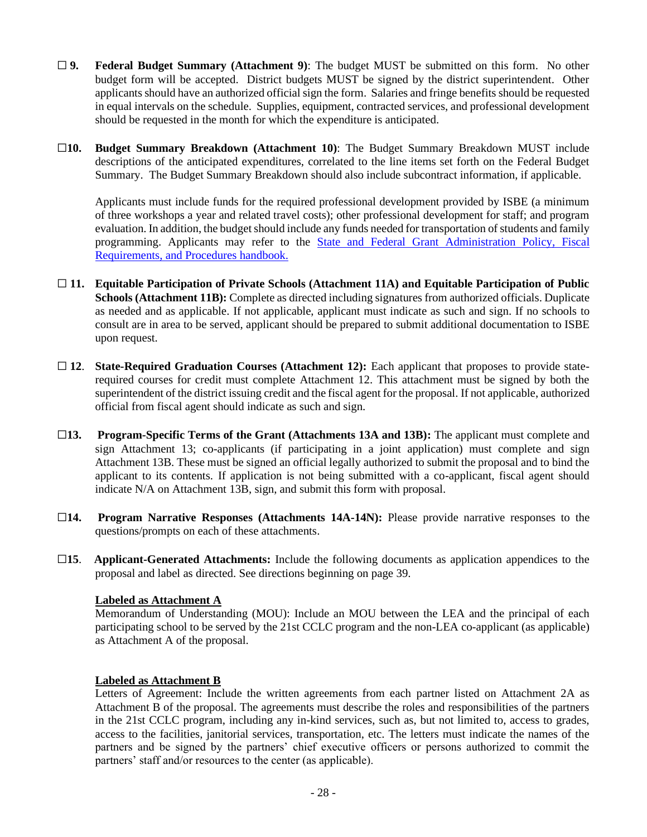- ☐ **9. Federal Budget Summary (Attachment 9)**: The budget MUST be submitted on this form. No other budget form will be accepted. District budgets MUST be signed by the district superintendent. Other applicants should have an authorized official sign the form. Salaries and fringe benefits should be requested in equal intervals on the schedule. Supplies, equipment, contracted services, and professional development should be requested in the month for which the expenditure is anticipated.
- ☐**10. Budget Summary Breakdown (Attachment 10)**: The Budget Summary Breakdown MUST include descriptions of the anticipated expenditures, correlated to the line items set forth on the Federal Budget Summary. The Budget Summary Breakdown should also include subcontract information, if applicable.

Applicants must include funds for the required professional development provided by ISBE (a minimum of three workshops a year and related travel costs); other professional development for staff; and program evaluation. In addition, the budget should include any funds needed for transportation of students and family programming. Applicants may refer to the State and Federal Grant Administration Policy, Fiscal [Requirements, and Procedures handbook.](https://www.isbe.net/Documents/fiscal_procedure_handbk.pdf#search=fiscal%20handbook)

- ☐ **11. Equitable Participation of Private Schools (Attachment 11A) and Equitable Participation of Public Schools (Attachment 11B):** Complete as directed including signatures from authorized officials. Duplicate as needed and as applicable. If not applicable, applicant must indicate as such and sign. If no schools to consult are in area to be served, applicant should be prepared to submit additional documentation to ISBE upon request.
- □ 12. **State-Required Graduation Courses (Attachment 12):** Each applicant that proposes to provide staterequired courses for credit must complete Attachment 12. This attachment must be signed by both the superintendent of the district issuing credit and the fiscal agent for the proposal. If not applicable, authorized official from fiscal agent should indicate as such and sign.
- ☐**13. Program-Specific Terms of the Grant (Attachments 13A and 13B):** The applicant must complete and sign Attachment 13; co-applicants (if participating in a joint application) must complete and sign Attachment 13B. These must be signed an official legally authorized to submit the proposal and to bind the applicant to its contents. If application is not being submitted with a co-applicant, fiscal agent should indicate N/A on Attachment 13B, sign, and submit this form with proposal.
- ☐**14. Program Narrative Responses (Attachments 14A-14N):** Please provide narrative responses to the questions/prompts on each of these attachments.
- ☐**15**. **Applicant-Generated Attachments:** Include the following documents as application appendices to the proposal and label as directed. See directions beginning on page 39.

#### **Labeled as Attachment A**

Memorandum of Understanding (MOU): Include an MOU between the LEA and the principal of each participating school to be served by the 21st CCLC program and the non-LEA co-applicant (as applicable) as Attachment A of the proposal.

## **Labeled as Attachment B**

Letters of Agreement: Include the written agreements from each partner listed on Attachment 2A as Attachment B of the proposal. The agreements must describe the roles and responsibilities of the partners in the 21st CCLC program, including any in-kind services, such as, but not limited to, access to grades, access to the facilities, janitorial services, transportation, etc. The letters must indicate the names of the partners and be signed by the partners' chief executive officers or persons authorized to commit the partners' staff and/or resources to the center (as applicable).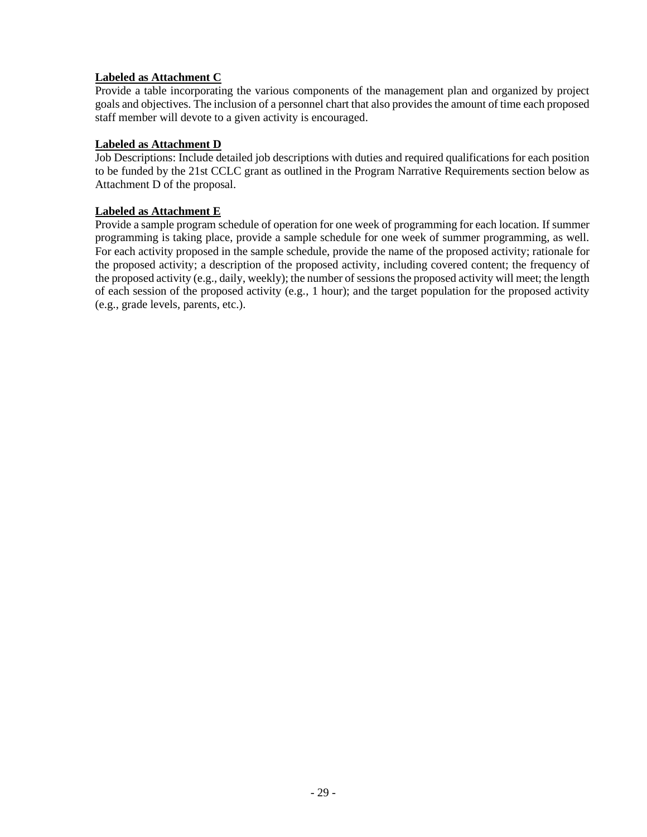### **Labeled as Attachment C**

Provide a table incorporating the various components of the management plan and organized by project goals and objectives. The inclusion of a personnel chart that also provides the amount of time each proposed staff member will devote to a given activity is encouraged.

#### **Labeled as Attachment D**

Job Descriptions: Include detailed job descriptions with duties and required qualifications for each position to be funded by the 21st CCLC grant as outlined in the Program Narrative Requirements section below as Attachment D of the proposal.

#### **Labeled as Attachment E**

Provide a sample program schedule of operation for one week of programming for each location. If summer programming is taking place, provide a sample schedule for one week of summer programming, as well. For each activity proposed in the sample schedule, provide the name of the proposed activity; rationale for the proposed activity; a description of the proposed activity, including covered content; the frequency of the proposed activity (e.g., daily, weekly); the number of sessions the proposed activity will meet; the length of each session of the proposed activity (e.g., 1 hour); and the target population for the proposed activity (e.g., grade levels, parents, etc.).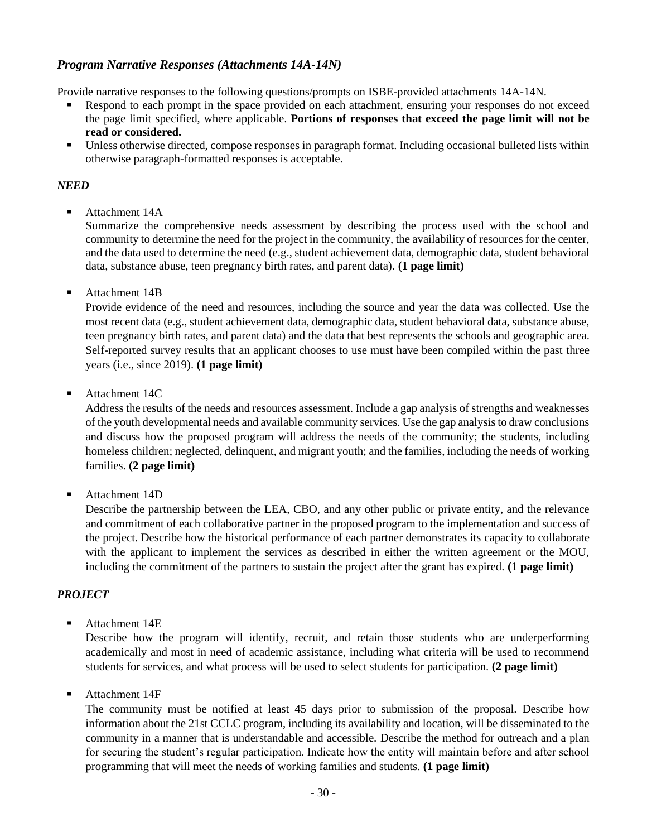## *Program Narrative Responses (Attachments 14A-14N)*

Provide narrative responses to the following questions/prompts on ISBE-provided attachments 14A-14N.

- Respond to each prompt in the space provided on each attachment, ensuring your responses do not exceed the page limit specified, where applicable. **Portions of responses that exceed the page limit will not be read or considered.**
- Unless otherwise directed, compose responses in paragraph format. Including occasional bulleted lists within otherwise paragraph-formatted responses is acceptable.

### *NEED*

Attachment 14A

Summarize the comprehensive needs assessment by describing the process used with the school and community to determine the need for the project in the community, the availability of resources for the center, and the data used to determine the need (e.g., student achievement data, demographic data, student behavioral data, substance abuse, teen pregnancy birth rates, and parent data). **(1 page limit)**

■ Attachment 14B

Provide evidence of the need and resources, including the source and year the data was collected. Use the most recent data (e.g., student achievement data, demographic data, student behavioral data, substance abuse, teen pregnancy birth rates, and parent data) and the data that best represents the schools and geographic area. Self-reported survey results that an applicant chooses to use must have been compiled within the past three years (i.e., since 2019). **(1 page limit)**

■ Attachment 14C

Address the results of the needs and resources assessment. Include a gap analysis of strengths and weaknesses of the youth developmental needs and available community services. Use the gap analysis to draw conclusions and discuss how the proposed program will address the needs of the community; the students, including homeless children; neglected, delinquent, and migrant youth; and the families, including the needs of working families. **(2 page limit)**

■ Attachment 14D

Describe the partnership between the LEA, CBO, and any other public or private entity, and the relevance and commitment of each collaborative partner in the proposed program to the implementation and success of the project. Describe how the historical performance of each partner demonstrates its capacity to collaborate with the applicant to implement the services as described in either the written agreement or the MOU, including the commitment of the partners to sustain the project after the grant has expired. **(1 page limit)**

## *PROJECT*

Attachment 14<sub>E</sub>

Describe how the program will identify, recruit, and retain those students who are underperforming academically and most in need of academic assistance, including what criteria will be used to recommend students for services, and what process will be used to select students for participation. **(2 page limit)**

■ Attachment 14F

The community must be notified at least 45 days prior to submission of the proposal. Describe how information about the 21st CCLC program, including its availability and location, will be disseminated to the community in a manner that is understandable and accessible. Describe the method for outreach and a plan for securing the student's regular participation. Indicate how the entity will maintain before and after school programming that will meet the needs of working families and students. **(1 page limit)**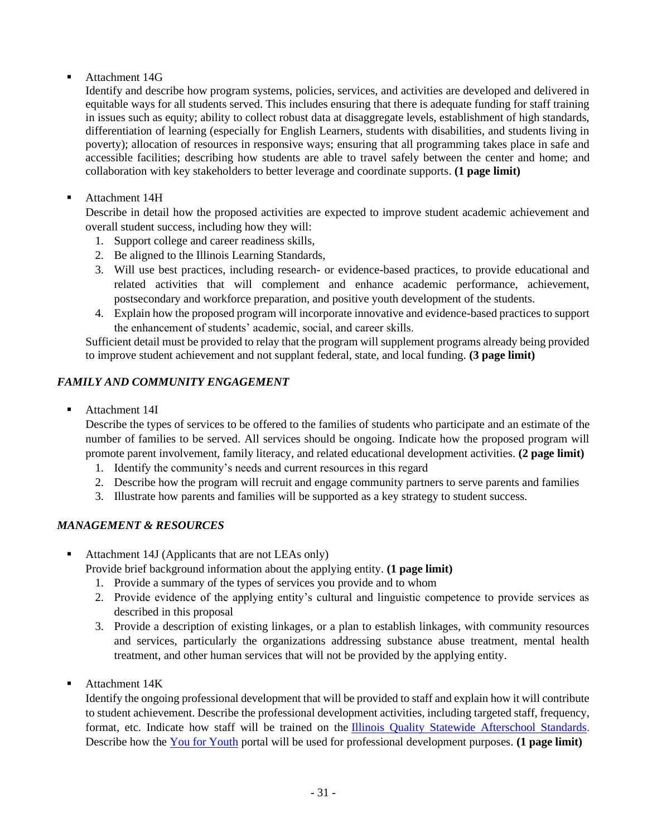Attachment 14G

Identify and describe how program systems, policies, services, and activities are developed and delivered in equitable ways for all students served. This includes ensuring that there is adequate funding for staff training in issues such as equity; ability to collect robust data at disaggregate levels, establishment of high standards, differentiation of learning (especially for English Learners, students with disabilities, and students living in poverty); allocation of resources in responsive ways; ensuring that all programming takes place in safe and accessible facilities; describing how students are able to travel safely between the center and home; and collaboration with key stakeholders to better leverage and coordinate supports. **(1 page limit)**

■ Attachment 14H

Describe in detail how the proposed activities are expected to improve student academic achievement and overall student success, including how they will:

- 1. Support college and career readiness skills,
- 2. Be aligned to the Illinois Learning Standards,
- 3. Will use best practices, including research- or evidence-based practices, to provide educational and related activities that will complement and enhance academic performance, achievement, postsecondary and workforce preparation, and positive youth development of the students.
- 4. Explain how the proposed program will incorporate innovative and evidence-based practices to support the enhancement of students' academic, social, and career skills.

Sufficient detail must be provided to relay that the program will supplement programs already being provided to improve student achievement and not supplant federal, state, and local funding. **(3 page limit)**

## *FAMILY AND COMMUNITY ENGAGEMENT*

■ Attachment 14I

Describe the types of services to be offered to the families of students who participate and an estimate of the number of families to be served. All services should be ongoing. Indicate how the proposed program will promote parent involvement, family literacy, and related educational development activities. **(2 page limit)**

- 1. Identify the community's needs and current resources in this regard
- 2. Describe how the program will recruit and engage community partners to serve parents and families
- 3. Illustrate how parents and families will be supported as a key strategy to student success.

## *MANAGEMENT & RESOURCES*

Attachment 14J (Applicants that are not LEAs only)

Provide brief background information about the applying entity. **(1 page limit)**

- 1. Provide a summary of the types of services you provide and to whom
- 2. Provide evidence of the applying entity's cultural and linguistic competence to provide services as described in this proposal
- 3. Provide a description of existing linkages, or a plan to establish linkages, with community resources and services, particularly the organizations addressing substance abuse treatment, mental health treatment, and other human services that will not be provided by the applying entity.
- Attachment 14K

Identify the ongoing professional development that will be provided to staff and explain how it will contribute to student achievement. Describe the professional development activities, including targeted staff, frequency, format, etc. Indicate how staff will be trained on the [Illinois Quality Statewide Afterschool Standards.](http://www.actnowillinois.org/quality-standards/) Describe how the [You for Youth](https://y4y.ed.gov/) portal will be used for professional development purposes. **(1 page limit)**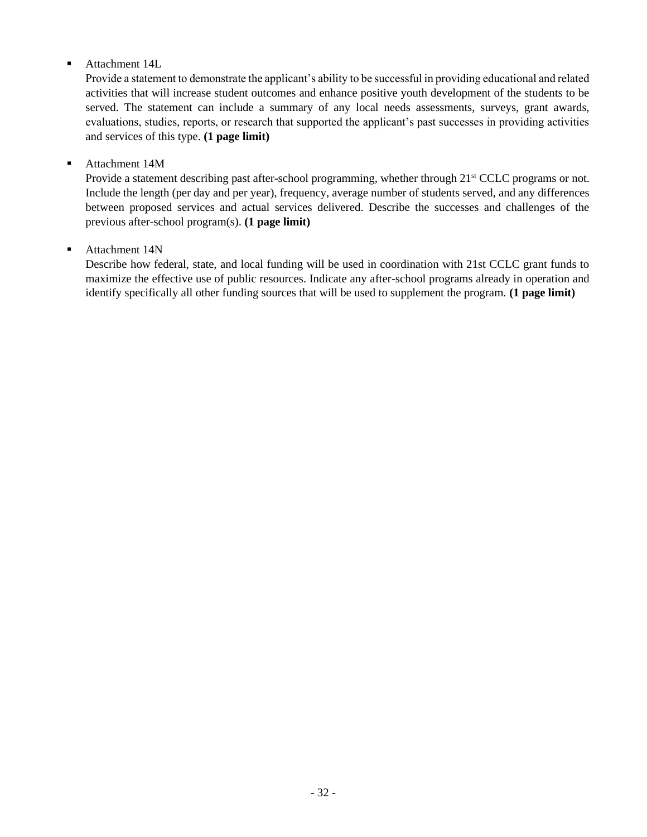## ■ Attachment 14L

Provide a statement to demonstrate the applicant's ability to be successful in providing educational and related activities that will increase student outcomes and enhance positive youth development of the students to be served. The statement can include a summary of any local needs assessments, surveys, grant awards, evaluations, studies, reports, or research that supported the applicant's past successes in providing activities and services of this type. **(1 page limit)**

### ■ Attachment 14M

Provide a statement describing past after-school programming, whether through 21<sup>st</sup> CCLC programs or not. Include the length (per day and per year), frequency, average number of students served, and any differences between proposed services and actual services delivered. Describe the successes and challenges of the previous after-school program(s). **(1 page limit)**

## ■ Attachment 14N

Describe how federal, state, and local funding will be used in coordination with 21st CCLC grant funds to maximize the effective use of public resources. Indicate any after-school programs already in operation and identify specifically all other funding sources that will be used to supplement the program. **(1 page limit)**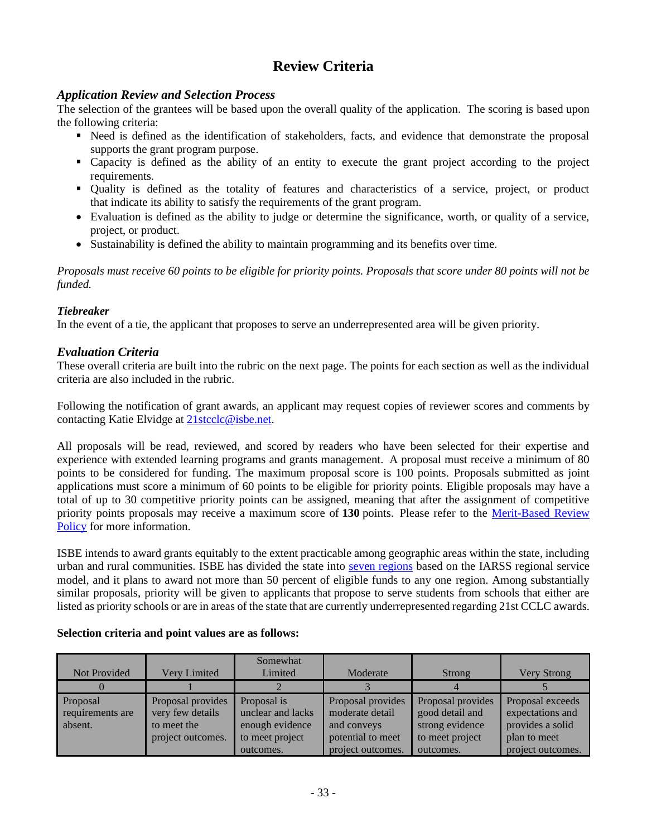# **Review Criteria**

## *Application Review and Selection Process*

The selection of the grantees will be based upon the overall quality of the application. The scoring is based upon the following criteria:

- Need is defined as the identification of stakeholders, facts, and evidence that demonstrate the proposal supports the grant program purpose.
- Capacity is defined as the ability of an entity to execute the grant project according to the project requirements.
- Quality is defined as the totality of features and characteristics of a service, project, or product that indicate its ability to satisfy the requirements of the grant program.
- Evaluation is defined as the ability to judge or determine the significance, worth, or quality of a service, project, or product.
- Sustainability is defined the ability to maintain programming and its benefits over time.

*Proposals must receive 60 points to be eligible for priority points. Proposals that score under 80 points will not be funded.*

## *Tiebreaker*

In the event of a tie, the applicant that proposes to serve an underrepresented area will be given priority.

## *Evaluation Criteria*

These overall criteria are built into the rubric on the next page. The points for each section as well as the individual criteria are also included in the rubric.

Following the notification of grant awards, an applicant may request copies of reviewer scores and comments by contacting Katie Elvidge at [21stcclc@isbe.net.](mailto:21stcclc@isbe.net)

All proposals will be read, reviewed, and scored by readers who have been selected for their expertise and experience with extended learning programs and grants management. A proposal must receive a minimum of 80 points to be considered for funding. The maximum proposal score is 100 points. Proposals submitted as joint applications must score a minimum of 60 points to be eligible for priority points. Eligible proposals may have a total of up to 30 competitive priority points can be assigned, meaning that after the assignment of competitive priority points proposals may receive a maximum score of **130** points. Please refer to the [Merit-Based Review](https://www.isbe.net/Documents/Merit_Based_Review_Policy.pdf)  [Policy](https://www.isbe.net/Documents/Merit_Based_Review_Policy.pdf) for more information.

ISBE intends to award grants equitably to the extent practicable among geographic areas within the state, including urban and rural communities. ISBE has divided the state into seven [regions](https://www.isbe.net/Documents/21st-CCLC-Regional-Map.pdf) based on the IARSS regional service model, and it plans to award not more than 50 percent of eligible funds to any one region. Among substantially similar proposals, priority will be given to applicants that propose to serve students from schools that either are listed as priority schools or are in areas of the state that are currently underrepresented regarding 21st CCLC awards.

| Not Provided                            | Very Limited                                                              | Somewhat<br>Limited                                                                 | Moderate                                                                                      | Strong                                                                                  | <b>Very Strong</b>                                                                            |
|-----------------------------------------|---------------------------------------------------------------------------|-------------------------------------------------------------------------------------|-----------------------------------------------------------------------------------------------|-----------------------------------------------------------------------------------------|-----------------------------------------------------------------------------------------------|
|                                         |                                                                           |                                                                                     |                                                                                               |                                                                                         |                                                                                               |
| Proposal<br>requirements are<br>absent. | Proposal provides<br>very few details<br>to meet the<br>project outcomes. | Proposal is<br>unclear and lacks<br>enough evidence<br>to meet project<br>outcomes. | Proposal provides<br>moderate detail<br>and conveys<br>potential to meet<br>project outcomes. | Proposal provides<br>good detail and<br>strong evidence<br>to meet project<br>outcomes. | Proposal exceeds<br>expectations and<br>provides a solid<br>plan to meet<br>project outcomes. |

#### **Selection criteria and point values are as follows:**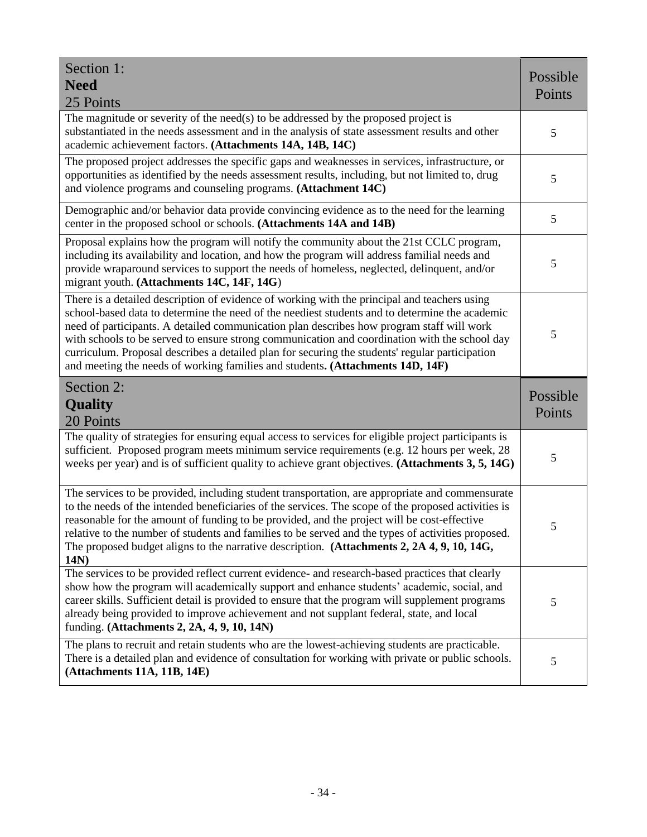| Section 1:<br><b>Need</b><br>25 Points                                                                                                                                                                                                                                                                                                                                                                                                                                                                                                                                            | Possible<br>Points |
|-----------------------------------------------------------------------------------------------------------------------------------------------------------------------------------------------------------------------------------------------------------------------------------------------------------------------------------------------------------------------------------------------------------------------------------------------------------------------------------------------------------------------------------------------------------------------------------|--------------------|
| The magnitude or severity of the need(s) to be addressed by the proposed project is<br>substantiated in the needs assessment and in the analysis of state assessment results and other<br>academic achievement factors. (Attachments 14A, 14B, 14C)                                                                                                                                                                                                                                                                                                                               | 5                  |
| The proposed project addresses the specific gaps and weaknesses in services, infrastructure, or<br>opportunities as identified by the needs assessment results, including, but not limited to, drug<br>and violence programs and counseling programs. (Attachment 14C)                                                                                                                                                                                                                                                                                                            | 5                  |
| Demographic and/or behavior data provide convincing evidence as to the need for the learning<br>center in the proposed school or schools. (Attachments 14A and 14B)                                                                                                                                                                                                                                                                                                                                                                                                               | 5                  |
| Proposal explains how the program will notify the community about the 21st CCLC program,<br>including its availability and location, and how the program will address familial needs and<br>provide wraparound services to support the needs of homeless, neglected, delinquent, and/or<br>migrant youth. (Attachments 14C, 14F, 14G)                                                                                                                                                                                                                                             | 5                  |
| There is a detailed description of evidence of working with the principal and teachers using<br>school-based data to determine the need of the neediest students and to determine the academic<br>need of participants. A detailed communication plan describes how program staff will work<br>with schools to be served to ensure strong communication and coordination with the school day<br>curriculum. Proposal describes a detailed plan for securing the students' regular participation<br>and meeting the needs of working families and students. (Attachments 14D, 14F) | 5                  |
| Section 2:<br><b>Quality</b><br>20 Points                                                                                                                                                                                                                                                                                                                                                                                                                                                                                                                                         | Possible<br>Points |
| The quality of strategies for ensuring equal access to services for eligible project participants is<br>sufficient. Proposed program meets minimum service requirements (e.g. 12 hours per week, 28<br>weeks per year) and is of sufficient quality to achieve grant objectives. (Attachments 3, 5, 14G)                                                                                                                                                                                                                                                                          | 5                  |
| The services to be provided, including student transportation, are appropriate and commensurate<br>to the needs of the intended beneficiaries of the services. The scope of the proposed activities is<br>reasonable for the amount of funding to be provided, and the project will be cost-effective<br>relative to the number of students and families to be served and the types of activities proposed.<br>The proposed budget aligns to the narrative description. (Attachments 2, 2A 4, 9, 10, 14G,<br>14N                                                                  | 5                  |
| The services to be provided reflect current evidence- and research-based practices that clearly<br>show how the program will academically support and enhance students' academic, social, and<br>career skills. Sufficient detail is provided to ensure that the program will supplement programs                                                                                                                                                                                                                                                                                 | 5                  |
| already being provided to improve achievement and not supplant federal, state, and local<br>funding. (Attachments 2, 2A, 4, 9, 10, 14N)<br>The plans to recruit and retain students who are the lowest-achieving students are practicable.                                                                                                                                                                                                                                                                                                                                        |                    |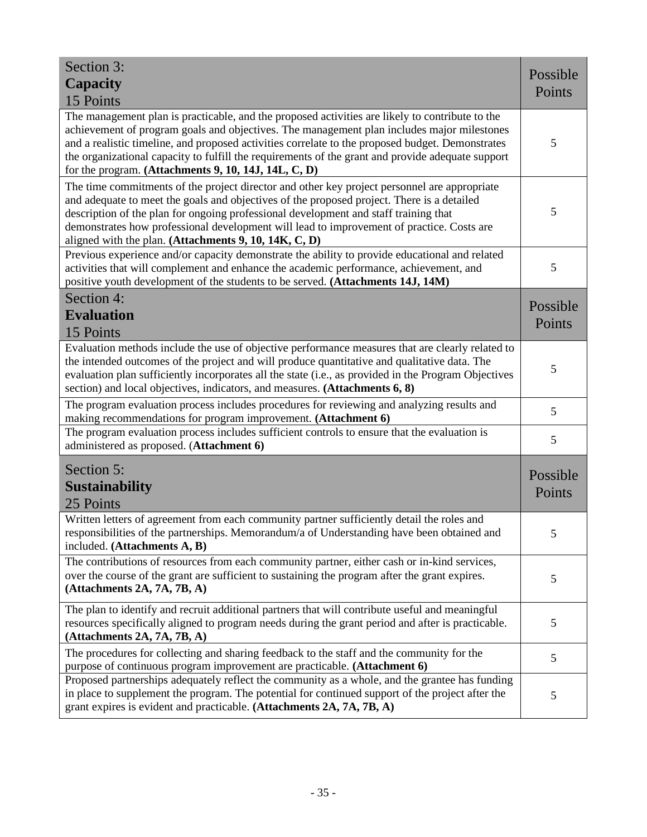| Section 3:<br><b>Capacity</b><br>15 Points                                                                                                                                                                                                                                                                                                                                                                                                                     | Possible<br>Points |
|----------------------------------------------------------------------------------------------------------------------------------------------------------------------------------------------------------------------------------------------------------------------------------------------------------------------------------------------------------------------------------------------------------------------------------------------------------------|--------------------|
| The management plan is practicable, and the proposed activities are likely to contribute to the<br>achievement of program goals and objectives. The management plan includes major milestones<br>and a realistic timeline, and proposed activities correlate to the proposed budget. Demonstrates<br>the organizational capacity to fulfill the requirements of the grant and provide adequate support<br>for the program. (Attachments 9, 10, 14J, 14L, C, D) | 5                  |
| The time commitments of the project director and other key project personnel are appropriate<br>and adequate to meet the goals and objectives of the proposed project. There is a detailed<br>description of the plan for ongoing professional development and staff training that<br>demonstrates how professional development will lead to improvement of practice. Costs are<br>aligned with the plan. (Attachments 9, 10, 14K, C, D)                       | 5                  |
| Previous experience and/or capacity demonstrate the ability to provide educational and related<br>activities that will complement and enhance the academic performance, achievement, and<br>positive youth development of the students to be served. (Attachments 14J, 14M)                                                                                                                                                                                    | 5                  |
| Section 4:                                                                                                                                                                                                                                                                                                                                                                                                                                                     |                    |
| <b>Evaluation</b>                                                                                                                                                                                                                                                                                                                                                                                                                                              | Possible           |
| 15 Points                                                                                                                                                                                                                                                                                                                                                                                                                                                      | Points             |
| Evaluation methods include the use of objective performance measures that are clearly related to<br>the intended outcomes of the project and will produce quantitative and qualitative data. The<br>evaluation plan sufficiently incorporates all the state (i.e., as provided in the Program Objectives<br>section) and local objectives, indicators, and measures. (Attachments 6, 8)                                                                        | 5                  |
| The program evaluation process includes procedures for reviewing and analyzing results and<br>making recommendations for program improvement. (Attachment 6)                                                                                                                                                                                                                                                                                                   | 5                  |
| The program evaluation process includes sufficient controls to ensure that the evaluation is<br>administered as proposed. (Attachment 6)                                                                                                                                                                                                                                                                                                                       | 5                  |
| Section 5:<br><b>Sustainability</b><br>25 Points                                                                                                                                                                                                                                                                                                                                                                                                               | Possible<br>Points |
| Written letters of agreement from each community partner sufficiently detail the roles and<br>responsibilities of the partnerships. Memorandum/a of Understanding have been obtained and<br>included. (Attachments A, B)                                                                                                                                                                                                                                       | 5                  |
| The contributions of resources from each community partner, either cash or in-kind services,<br>over the course of the grant are sufficient to sustaining the program after the grant expires.<br>(Attachments 2A, 7A, 7B, A)                                                                                                                                                                                                                                  | 5                  |
| The plan to identify and recruit additional partners that will contribute useful and meaningful<br>resources specifically aligned to program needs during the grant period and after is practicable.<br>(Attachments 2A, 7A, 7B, A)                                                                                                                                                                                                                            | 5                  |
| The procedures for collecting and sharing feedback to the staff and the community for the<br>purpose of continuous program improvement are practicable. (Attachment 6)                                                                                                                                                                                                                                                                                         | 5                  |
| Proposed partnerships adequately reflect the community as a whole, and the grantee has funding<br>in place to supplement the program. The potential for continued support of the project after the<br>grant expires is evident and practicable. (Attachments 2A, 7A, 7B, A)                                                                                                                                                                                    | 5                  |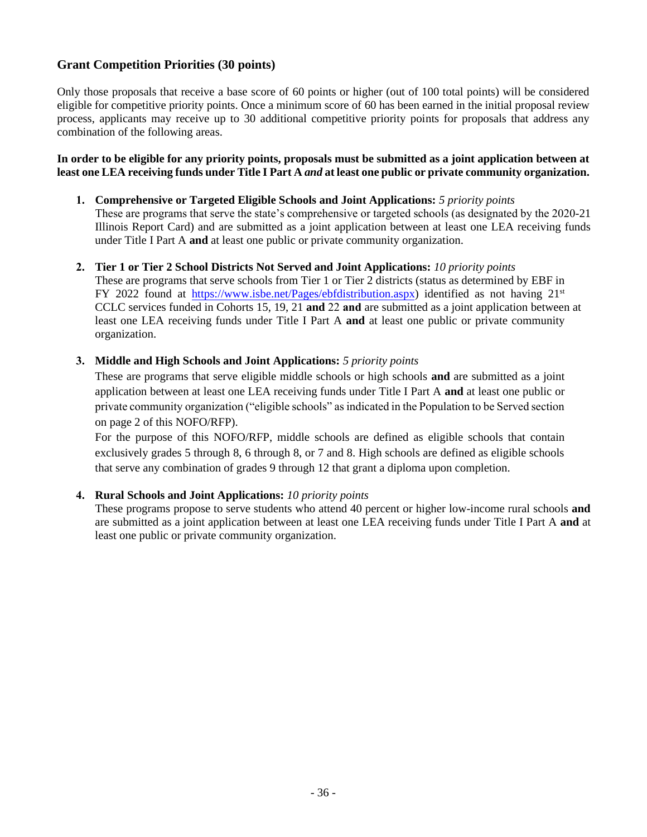## **Grant Competition Priorities (30 points)**

Only those proposals that receive a base score of 60 points or higher (out of 100 total points) will be considered eligible for competitive priority points. Once a minimum score of 60 has been earned in the initial proposal review process, applicants may receive up to 30 additional competitive priority points for proposals that address any combination of the following areas.

#### **In order to be eligible for any priority points, proposals must be submitted as a joint application between at least one LEA receiving funds under Title I Part A** *and* **at least one public or private community organization.**

### **1. Comprehensive or Targeted Eligible Schools and Joint Applications:** *5 priority points*

These are programs that serve the state's comprehensive or targeted schools (as designated by the 2020-21 Illinois Report Card) and are submitted as a joint application between at least one LEA receiving funds under Title I Part A **and** at least one public or private community organization.

#### **2. Tier 1 or Tier 2 School Districts Not Served and Joint Applications:** *10 priority points*

These are programs that serve schools from Tier 1 or Tier 2 districts (status as determined by EBF in FY 2022 found at [https://www.isbe.net/Pages/ebfdistribution.aspx\)](https://www.isbe.net/Pages/ebfdistribution.aspx) identified as not having  $21^{st}$ CCLC services funded in Cohorts 15, 19, 21 **and** 22 **and** are submitted as a joint application between at least one LEA receiving funds under Title I Part A **and** at least one public or private community organization.

### **3. Middle and High Schools and Joint Applications:** *5 priority points*

These are programs that serve eligible middle schools or high schools **and** are submitted as a joint application between at least one LEA receiving funds under Title I Part A **and** at least one public or private community organization ("eligible schools" as indicated in the Population to be Served section on page 2 of this NOFO/RFP).

For the purpose of this NOFO/RFP, middle schools are defined as eligible schools that contain exclusively grades 5 through 8, 6 through 8, or 7 and 8. High schools are defined as eligible schools that serve any combination of grades 9 through 12 that grant a diploma upon completion.

#### **4. Rural Schools and Joint Applications:** *10 priority points*

These programs propose to serve students who attend 40 percent or higher low-income rural schools **and** are submitted as a joint application between at least one LEA receiving funds under Title I Part A **and** at least one public or private community organization.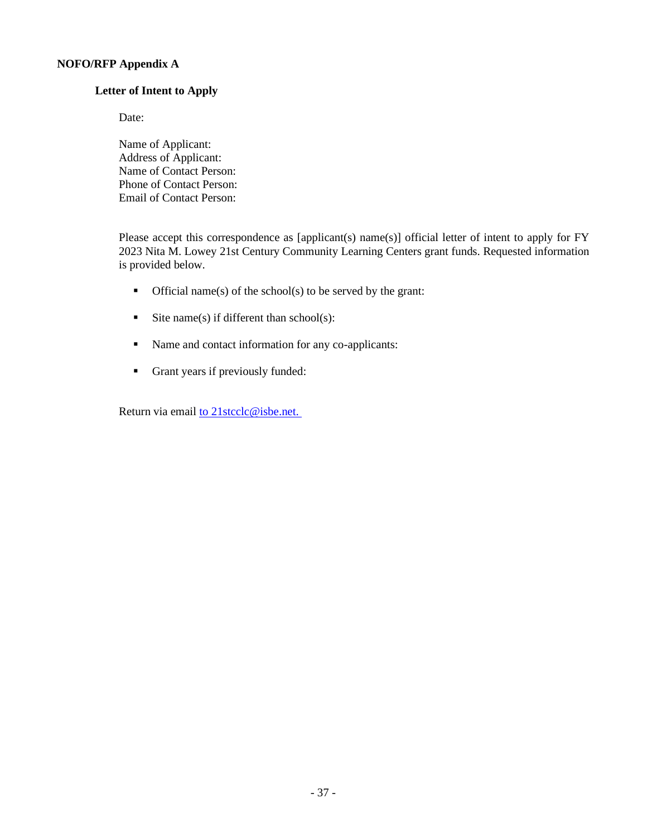### **NOFO/RFP Appendix A**

#### **Letter of Intent to Apply**

Date:

Name of Applicant: Address of Applicant: Name of Contact Person: Phone of Contact Person: Email of Contact Person:

Please accept this correspondence as [applicant(s) name(s)] official letter of intent to apply for FY 2023 Nita M. Lowey 21st Century Community Learning Centers grant funds. Requested information is provided below.

- $\blacksquare$  Official name(s) of the school(s) to be served by the grant:
- **•** Site name(s) if different than school(s):
- Name and contact information for any co-applicants:
- Grant years if previously funded:

Return via email to [21stcclc@isbe.net.](mailto:to 21stcclc@isbe.net. )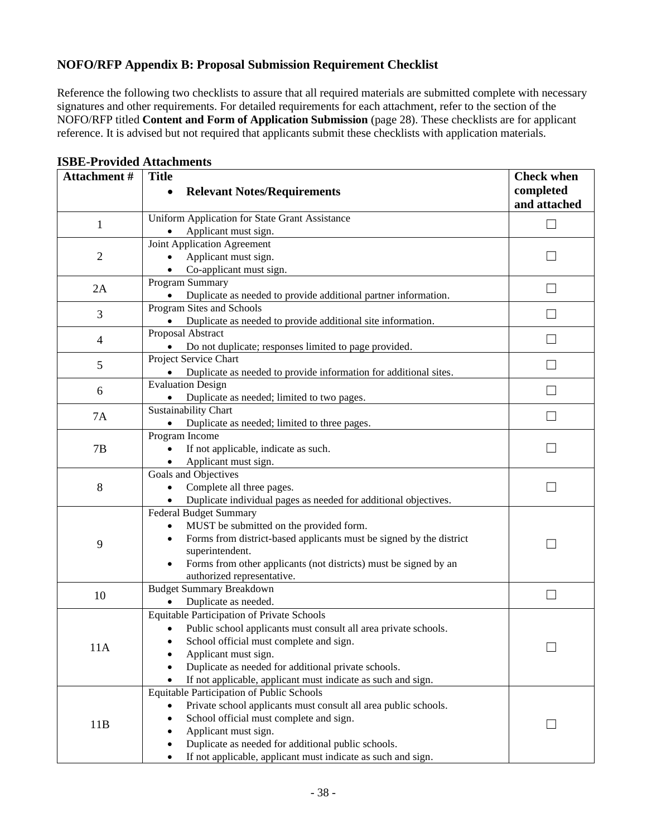## **NOFO/RFP Appendix B: Proposal Submission Requirement Checklist**

Reference the following two checklists to assure that all required materials are submitted complete with necessary signatures and other requirements. For detailed requirements for each attachment, refer to the section of the NOFO/RFP titled **Content and Form of Application Submission** (page 28). These checklists are for applicant reference. It is advised but not required that applicants submit these checklists with application materials.

| Attachment#              | <b>Title</b>                                                                                     | <b>Check when</b>         |
|--------------------------|--------------------------------------------------------------------------------------------------|---------------------------|
|                          | <b>Relevant Notes/Requirements</b>                                                               | completed<br>and attached |
| 1                        | Uniform Application for State Grant Assistance                                                   |                           |
|                          | Applicant must sign.                                                                             |                           |
|                          | Joint Application Agreement                                                                      |                           |
| $\overline{2}$           | Applicant must sign.                                                                             |                           |
|                          | Co-applicant must sign.                                                                          |                           |
| 2A                       | Program Summary                                                                                  |                           |
|                          | Duplicate as needed to provide additional partner information.                                   |                           |
| 3                        | Program Sites and Schools                                                                        |                           |
|                          | Duplicate as needed to provide additional site information.                                      |                           |
| $\overline{\mathcal{A}}$ | Proposal Abstract                                                                                |                           |
|                          | Do not duplicate; responses limited to page provided.                                            |                           |
| 5                        | Project Service Chart                                                                            |                           |
|                          | Duplicate as needed to provide information for additional sites.                                 |                           |
| 6                        | <b>Evaluation Design</b>                                                                         |                           |
|                          | Duplicate as needed; limited to two pages.                                                       |                           |
| <b>7A</b>                | <b>Sustainability Chart</b>                                                                      |                           |
|                          | Duplicate as needed; limited to three pages.                                                     |                           |
|                          | Program Income                                                                                   |                           |
| 7B                       | If not applicable, indicate as such.                                                             |                           |
|                          | Applicant must sign.<br>Goals and Objectives                                                     |                           |
| 8                        | Complete all three pages.                                                                        |                           |
|                          |                                                                                                  |                           |
|                          | Duplicate individual pages as needed for additional objectives.<br><b>Federal Budget Summary</b> |                           |
|                          | MUST be submitted on the provided form.                                                          |                           |
|                          | $\bullet$<br>Forms from district-based applicants must be signed by the district<br>$\bullet$    |                           |
| 9                        | superintendent.                                                                                  |                           |
|                          | Forms from other applicants (not districts) must be signed by an                                 |                           |
|                          | authorized representative.                                                                       |                           |
|                          | <b>Budget Summary Breakdown</b>                                                                  |                           |
| 10                       | Duplicate as needed.                                                                             |                           |
|                          | <b>Equitable Participation of Private Schools</b>                                                |                           |
|                          | Public school applicants must consult all area private schools.                                  |                           |
|                          | School official must complete and sign.                                                          |                           |
| 11A                      | Applicant must sign.                                                                             |                           |
|                          | Duplicate as needed for additional private schools.                                              |                           |
|                          | If not applicable, applicant must indicate as such and sign.                                     |                           |
| 11B                      | Equitable Participation of Public Schools                                                        |                           |
|                          | Private school applicants must consult all area public schools.                                  |                           |
|                          | School official must complete and sign.                                                          |                           |
|                          | Applicant must sign.                                                                             |                           |
|                          | Duplicate as needed for additional public schools.                                               |                           |
|                          | If not applicable, applicant must indicate as such and sign.                                     |                           |

#### **ISBE-Provided Attachments**